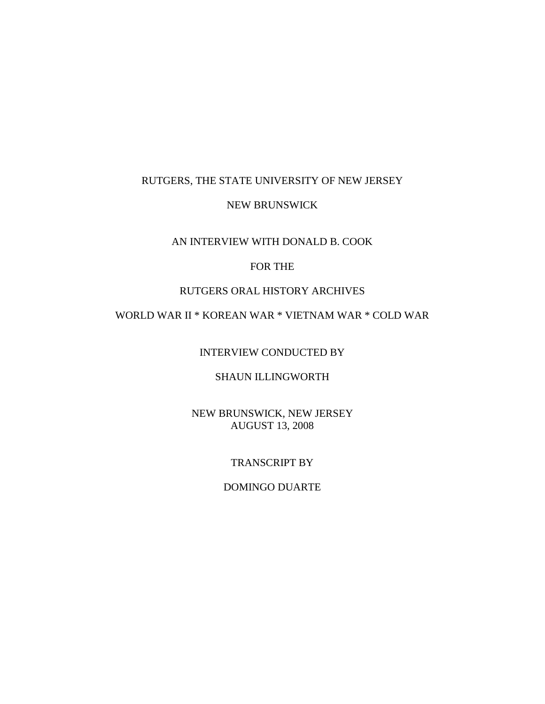# RUTGERS, THE STATE UNIVERSITY OF NEW JERSEY

### NEW BRUNSWICK

### AN INTERVIEW WITH DONALD B. COOK

# FOR THE

# RUTGERS ORAL HISTORY ARCHIVES

# WORLD WAR II \* KOREAN WAR \* VIETNAM WAR \* COLD WAR

INTERVIEW CONDUCTED BY

# SHAUN ILLINGWORTH

NEW BRUNSWICK, NEW JERSEY AUGUST 13, 2008

### TRANSCRIPT BY

# DOMINGO DUARTE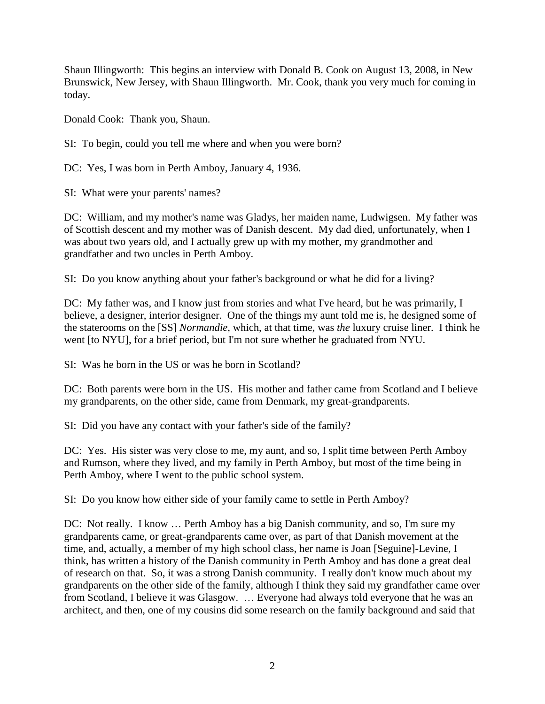Shaun Illingworth: This begins an interview with Donald B. Cook on August 13, 2008, in New Brunswick, New Jersey, with Shaun Illingworth. Mr. Cook, thank you very much for coming in today.

Donald Cook: Thank you, Shaun.

SI: To begin, could you tell me where and when you were born?

DC: Yes, I was born in Perth Amboy, January 4, 1936.

SI: What were your parents' names?

DC: William, and my mother's name was Gladys, her maiden name, Ludwigsen. My father was of Scottish descent and my mother was of Danish descent. My dad died, unfortunately, when I was about two years old, and I actually grew up with my mother, my grandmother and grandfather and two uncles in Perth Amboy.

SI: Do you know anything about your father's background or what he did for a living?

DC: My father was, and I know just from stories and what I've heard, but he was primarily, I believe, a designer, interior designer. One of the things my aunt told me is, he designed some of the staterooms on the [SS] *Normandie,* which, at that time, was *the* luxury cruise liner. I think he went [to NYU], for a brief period, but I'm not sure whether he graduated from NYU.

SI: Was he born in the US or was he born in Scotland?

DC: Both parents were born in the US. His mother and father came from Scotland and I believe my grandparents, on the other side, came from Denmark, my great-grandparents.

SI: Did you have any contact with your father's side of the family?

DC: Yes. His sister was very close to me, my aunt, and so, I split time between Perth Amboy and Rumson, where they lived, and my family in Perth Amboy, but most of the time being in Perth Amboy, where I went to the public school system.

SI: Do you know how either side of your family came to settle in Perth Amboy?

DC: Not really. I know … Perth Amboy has a big Danish community, and so, I'm sure my grandparents came, or great-grandparents came over, as part of that Danish movement at the time, and, actually, a member of my high school class, her name is Joan [Seguine]-Levine, I think, has written a history of the Danish community in Perth Amboy and has done a great deal of research on that. So, it was a strong Danish community. I really don't know much about my grandparents on the other side of the family, although I think they said my grandfather came over from Scotland, I believe it was Glasgow. … Everyone had always told everyone that he was an architect, and then, one of my cousins did some research on the family background and said that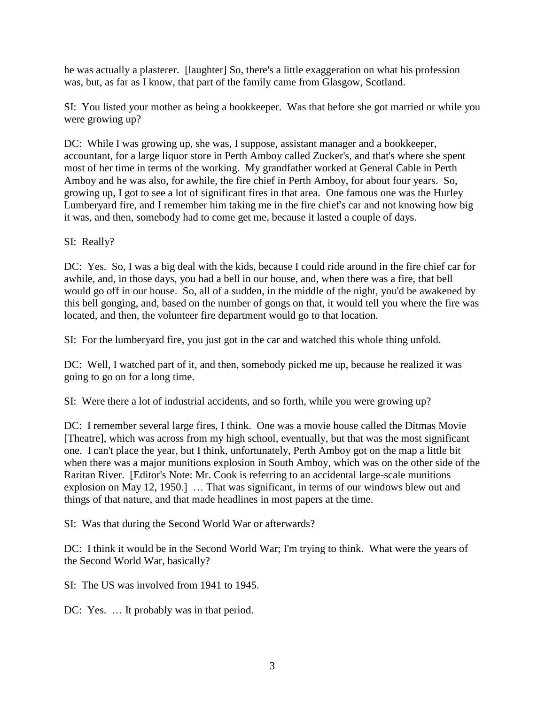he was actually a plasterer. [laughter] So, there's a little exaggeration on what his profession was, but, as far as I know, that part of the family came from Glasgow, Scotland.

SI: You listed your mother as being a bookkeeper. Was that before she got married or while you were growing up?

DC: While I was growing up, she was, I suppose, assistant manager and a bookkeeper, accountant, for a large liquor store in Perth Amboy called Zucker's, and that's where she spent most of her time in terms of the working. My grandfather worked at General Cable in Perth Amboy and he was also, for awhile, the fire chief in Perth Amboy, for about four years. So, growing up, I got to see a lot of significant fires in that area. One famous one was the Hurley Lumberyard fire, and I remember him taking me in the fire chief's car and not knowing how big it was, and then, somebody had to come get me, because it lasted a couple of days.

SI: Really?

DC: Yes. So, I was a big deal with the kids, because I could ride around in the fire chief car for awhile, and, in those days, you had a bell in our house, and, when there was a fire, that bell would go off in our house. So, all of a sudden, in the middle of the night, you'd be awakened by this bell gonging, and, based on the number of gongs on that, it would tell you where the fire was located, and then, the volunteer fire department would go to that location.

SI: For the lumberyard fire, you just got in the car and watched this whole thing unfold.

DC: Well, I watched part of it, and then, somebody picked me up, because he realized it was going to go on for a long time.

SI: Were there a lot of industrial accidents, and so forth, while you were growing up?

DC: I remember several large fires, I think. One was a movie house called the Ditmas Movie [Theatre], which was across from my high school, eventually, but that was the most significant one. I can't place the year, but I think, unfortunately, Perth Amboy got on the map a little bit when there was a major munitions explosion in South Amboy, which was on the other side of the Raritan River. [Editor's Note: Mr. Cook is referring to an accidental large-scale munitions explosion on May 12, 1950.] … That was significant, in terms of our windows blew out and things of that nature, and that made headlines in most papers at the time.

SI: Was that during the Second World War or afterwards?

DC: I think it would be in the Second World War; I'm trying to think. What were the years of the Second World War, basically?

SI: The US was involved from 1941 to 1945.

DC: Yes. ... It probably was in that period.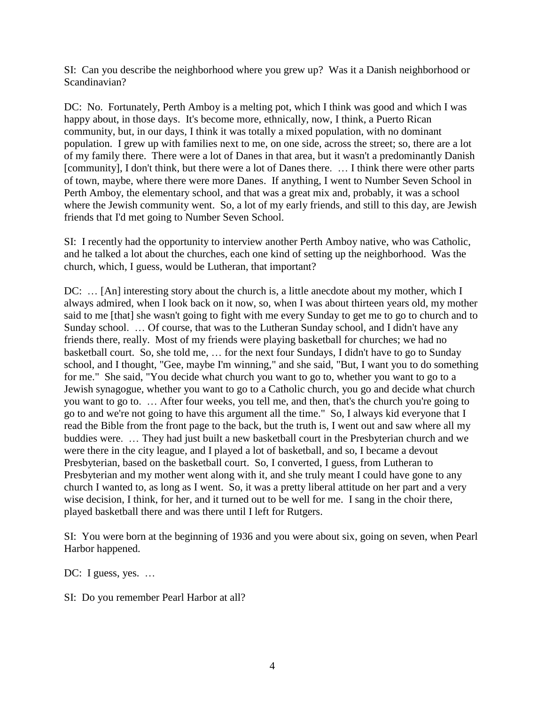SI: Can you describe the neighborhood where you grew up? Was it a Danish neighborhood or Scandinavian?

DC: No. Fortunately, Perth Amboy is a melting pot, which I think was good and which I was happy about, in those days. It's become more, ethnically, now, I think, a Puerto Rican community, but, in our days, I think it was totally a mixed population, with no dominant population. I grew up with families next to me, on one side, across the street; so, there are a lot of my family there. There were a lot of Danes in that area, but it wasn't a predominantly Danish [community], I don't think, but there were a lot of Danes there. … I think there were other parts of town, maybe, where there were more Danes. If anything, I went to Number Seven School in Perth Amboy, the elementary school, and that was a great mix and, probably, it was a school where the Jewish community went. So, a lot of my early friends, and still to this day, are Jewish friends that I'd met going to Number Seven School.

SI: I recently had the opportunity to interview another Perth Amboy native, who was Catholic, and he talked a lot about the churches, each one kind of setting up the neighborhood. Was the church, which, I guess, would be Lutheran, that important?

DC: … [An] interesting story about the church is, a little anecdote about my mother, which I always admired, when I look back on it now, so, when I was about thirteen years old, my mother said to me [that] she wasn't going to fight with me every Sunday to get me to go to church and to Sunday school. … Of course, that was to the Lutheran Sunday school, and I didn't have any friends there, really. Most of my friends were playing basketball for churches; we had no basketball court. So, she told me, … for the next four Sundays, I didn't have to go to Sunday school, and I thought, "Gee, maybe I'm winning," and she said, "But, I want you to do something for me." She said, "You decide what church you want to go to, whether you want to go to a Jewish synagogue, whether you want to go to a Catholic church, you go and decide what church you want to go to. … After four weeks, you tell me, and then, that's the church you're going to go to and we're not going to have this argument all the time." So, I always kid everyone that I read the Bible from the front page to the back, but the truth is, I went out and saw where all my buddies were. … They had just built a new basketball court in the Presbyterian church and we were there in the city league, and I played a lot of basketball, and so, I became a devout Presbyterian, based on the basketball court. So, I converted, I guess, from Lutheran to Presbyterian and my mother went along with it, and she truly meant I could have gone to any church I wanted to, as long as I went. So, it was a pretty liberal attitude on her part and a very wise decision, I think, for her, and it turned out to be well for me. I sang in the choir there, played basketball there and was there until I left for Rutgers.

SI: You were born at the beginning of 1936 and you were about six, going on seven, when Pearl Harbor happened.

DC: I guess, yes. ...

SI: Do you remember Pearl Harbor at all?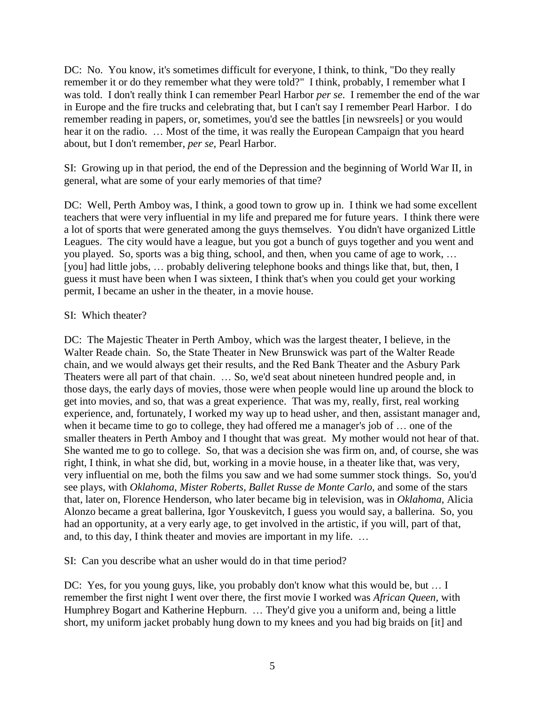DC: No. You know, it's sometimes difficult for everyone, I think, to think, "Do they really remember it or do they remember what they were told?" I think, probably, I remember what I was told. I don't really think I can remember Pearl Harbor *per se*. I remember the end of the war in Europe and the fire trucks and celebrating that, but I can't say I remember Pearl Harbor. I do remember reading in papers, or, sometimes, you'd see the battles [in newsreels] or you would hear it on the radio. … Most of the time, it was really the European Campaign that you heard about, but I don't remember, *per se*, Pearl Harbor.

SI: Growing up in that period, the end of the Depression and the beginning of World War II, in general, what are some of your early memories of that time?

DC: Well, Perth Amboy was, I think, a good town to grow up in. I think we had some excellent teachers that were very influential in my life and prepared me for future years. I think there were a lot of sports that were generated among the guys themselves. You didn't have organized Little Leagues. The city would have a league, but you got a bunch of guys together and you went and you played. So, sports was a big thing, school, and then, when you came of age to work, … [you] had little jobs, … probably delivering telephone books and things like that, but, then, I guess it must have been when I was sixteen, I think that's when you could get your working permit, I became an usher in the theater, in a movie house.

# SI: Which theater?

DC: The Majestic Theater in Perth Amboy, which was the largest theater, I believe, in the Walter Reade chain. So, the State Theater in New Brunswick was part of the Walter Reade chain, and we would always get their results, and the Red Bank Theater and the Asbury Park Theaters were all part of that chain. … So, we'd seat about nineteen hundred people and, in those days, the early days of movies, those were when people would line up around the block to get into movies, and so, that was a great experience. That was my, really, first, real working experience, and, fortunately, I worked my way up to head usher, and then, assistant manager and, when it became time to go to college, they had offered me a manager's job of … one of the smaller theaters in Perth Amboy and I thought that was great. My mother would not hear of that. She wanted me to go to college. So, that was a decision she was firm on, and, of course, she was right, I think, in what she did, but, working in a movie house, in a theater like that, was very, very influential on me, both the films you saw and we had some summer stock things. So, you'd see plays, with *Oklahoma*, *Mister Roberts*, *Ballet Russe de Monte Carlo,* and some of the stars that, later on, Florence Henderson, who later became big in television, was in *Oklahoma*, Alicia Alonzo became a great ballerina, Igor Youskevitch, I guess you would say, a ballerina. So, you had an opportunity, at a very early age, to get involved in the artistic, if you will, part of that, and, to this day, I think theater and movies are important in my life. …

SI: Can you describe what an usher would do in that time period?

DC: Yes, for you young guys, like, you probably don't know what this would be, but … I remember the first night I went over there, the first movie I worked was *African Queen,* with Humphrey Bogart and Katherine Hepburn. … They'd give you a uniform and, being a little short, my uniform jacket probably hung down to my knees and you had big braids on [it] and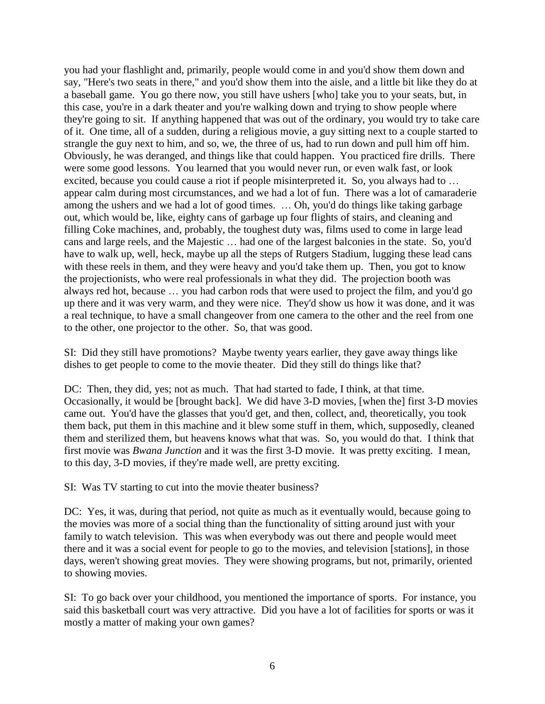you had your flashlight and, primarily, people would come in and you'd show them down and say, "Here's two seats in there," and you'd show them into the aisle, and a little bit like they do at a baseball game. You go there now, you still have ushers [who] take you to your seats, but, in this case, you're in a dark theater and you're walking down and trying to show people where they're going to sit. If anything happened that was out of the ordinary, you would try to take care of it. One time, all of a sudden, during a religious movie, a guy sitting next to a couple started to strangle the guy next to him, and so, we, the three of us, had to run down and pull him off him. Obviously, he was deranged, and things like that could happen. You practiced fire drills. There were some good lessons. You learned that you would never run, or even walk fast, or look excited, because you could cause a riot if people misinterpreted it. So, you always had to … appear calm during most circumstances, and we had a lot of fun. There was a lot of camaraderie among the ushers and we had a lot of good times. … Oh, you'd do things like taking garbage out, which would be, like, eighty cans of garbage up four flights of stairs, and cleaning and filling Coke machines, and, probably, the toughest duty was, films used to come in large lead cans and large reels, and the Majestic … had one of the largest balconies in the state. So, you'd have to walk up, well, heck, maybe up all the steps of Rutgers Stadium, lugging these lead cans with these reels in them, and they were heavy and you'd take them up. Then, you got to know the projectionists, who were real professionals in what they did. The projection booth was always red hot, because … you had carbon rods that were used to project the film, and you'd go up there and it was very warm, and they were nice. They'd show us how it was done, and it was a real technique, to have a small changeover from one camera to the other and the reel from one to the other, one projector to the other. So, that was good.

SI: Did they still have promotions? Maybe twenty years earlier, they gave away things like dishes to get people to come to the movie theater. Did they still do things like that?

DC: Then, they did, yes; not as much. That had started to fade, I think, at that time. Occasionally, it would be [brought back]. We did have 3-D movies, [when the] first 3-D movies came out. You'd have the glasses that you'd get, and then, collect, and, theoretically, you took them back, put them in this machine and it blew some stuff in them, which, supposedly, cleaned them and sterilized them, but heavens knows what that was. So, you would do that. I think that first movie was *Bwana Junction* and it was the first 3-D movie. It was pretty exciting. I mean, to this day, 3-D movies, if they're made well, are pretty exciting.

SI: Was TV starting to cut into the movie theater business?

DC: Yes, it was, during that period, not quite as much as it eventually would, because going to the movies was more of a social thing than the functionality of sitting around just with your family to watch television. This was when everybody was out there and people would meet there and it was a social event for people to go to the movies, and television [stations], in those days, weren't showing great movies. They were showing programs, but not, primarily, oriented to showing movies.

SI: To go back over your childhood, you mentioned the importance of sports. For instance, you said this basketball court was very attractive. Did you have a lot of facilities for sports or was it mostly a matter of making your own games?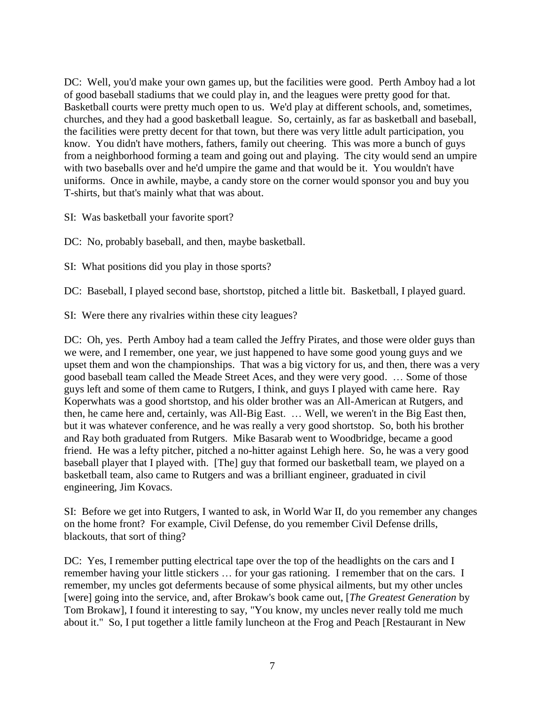DC: Well, you'd make your own games up, but the facilities were good. Perth Amboy had a lot of good baseball stadiums that we could play in, and the leagues were pretty good for that. Basketball courts were pretty much open to us. We'd play at different schools, and, sometimes, churches, and they had a good basketball league. So, certainly, as far as basketball and baseball, the facilities were pretty decent for that town, but there was very little adult participation, you know. You didn't have mothers, fathers, family out cheering. This was more a bunch of guys from a neighborhood forming a team and going out and playing. The city would send an umpire with two baseballs over and he'd umpire the game and that would be it. You wouldn't have uniforms. Once in awhile, maybe, a candy store on the corner would sponsor you and buy you T-shirts, but that's mainly what that was about.

SI: Was basketball your favorite sport?

DC: No, probably baseball, and then, maybe basketball.

SI: What positions did you play in those sports?

DC: Baseball, I played second base, shortstop, pitched a little bit. Basketball, I played guard.

SI: Were there any rivalries within these city leagues?

DC: Oh, yes. Perth Amboy had a team called the Jeffry Pirates, and those were older guys than we were, and I remember, one year, we just happened to have some good young guys and we upset them and won the championships. That was a big victory for us, and then, there was a very good baseball team called the Meade Street Aces, and they were very good. … Some of those guys left and some of them came to Rutgers, I think, and guys I played with came here. Ray Koperwhats was a good shortstop, and his older brother was an All-American at Rutgers, and then, he came here and, certainly, was All-Big East. … Well, we weren't in the Big East then, but it was whatever conference, and he was really a very good shortstop. So, both his brother and Ray both graduated from Rutgers. Mike Basarab went to Woodbridge, became a good friend. He was a lefty pitcher, pitched a no-hitter against Lehigh here. So, he was a very good baseball player that I played with. [The] guy that formed our basketball team, we played on a basketball team, also came to Rutgers and was a brilliant engineer, graduated in civil engineering, Jim Kovacs.

SI: Before we get into Rutgers, I wanted to ask, in World War II, do you remember any changes on the home front? For example, Civil Defense, do you remember Civil Defense drills, blackouts, that sort of thing?

DC: Yes, I remember putting electrical tape over the top of the headlights on the cars and I remember having your little stickers … for your gas rationing. I remember that on the cars. I remember, my uncles got deferments because of some physical ailments, but my other uncles [were] going into the service, and, after Brokaw's book came out, [*The Greatest Generation* by Tom Brokaw], I found it interesting to say, "You know, my uncles never really told me much about it." So, I put together a little family luncheon at the Frog and Peach [Restaurant in New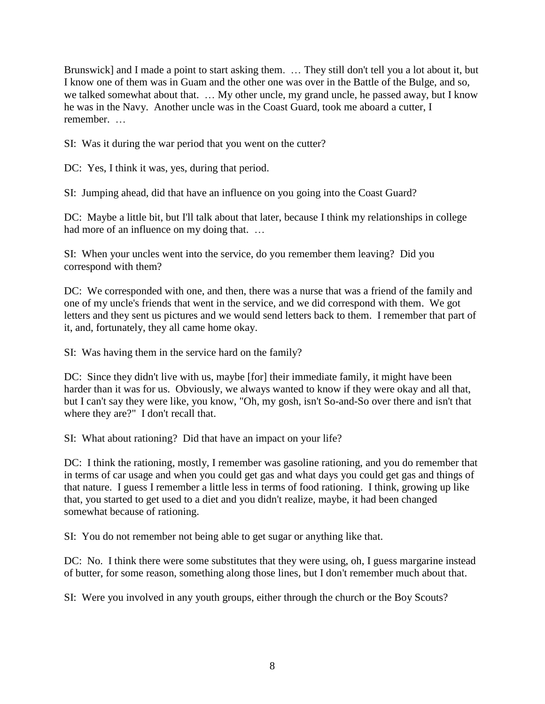Brunswick] and I made a point to start asking them. … They still don't tell you a lot about it, but I know one of them was in Guam and the other one was over in the Battle of the Bulge, and so, we talked somewhat about that. … My other uncle, my grand uncle, he passed away, but I know he was in the Navy. Another uncle was in the Coast Guard, took me aboard a cutter, I remember. …

SI: Was it during the war period that you went on the cutter?

DC: Yes, I think it was, yes, during that period.

SI: Jumping ahead, did that have an influence on you going into the Coast Guard?

DC: Maybe a little bit, but I'll talk about that later, because I think my relationships in college had more of an influence on my doing that. ...

SI: When your uncles went into the service, do you remember them leaving? Did you correspond with them?

DC: We corresponded with one, and then, there was a nurse that was a friend of the family and one of my uncle's friends that went in the service, and we did correspond with them. We got letters and they sent us pictures and we would send letters back to them. I remember that part of it, and, fortunately, they all came home okay.

SI: Was having them in the service hard on the family?

DC: Since they didn't live with us, maybe [for] their immediate family, it might have been harder than it was for us. Obviously, we always wanted to know if they were okay and all that, but I can't say they were like, you know, "Oh, my gosh, isn't So-and-So over there and isn't that where they are?" I don't recall that.

SI: What about rationing? Did that have an impact on your life?

DC: I think the rationing, mostly, I remember was gasoline rationing, and you do remember that in terms of car usage and when you could get gas and what days you could get gas and things of that nature. I guess I remember a little less in terms of food rationing. I think, growing up like that, you started to get used to a diet and you didn't realize, maybe, it had been changed somewhat because of rationing.

SI: You do not remember not being able to get sugar or anything like that.

DC: No. I think there were some substitutes that they were using, oh, I guess margarine instead of butter, for some reason, something along those lines, but I don't remember much about that.

SI: Were you involved in any youth groups, either through the church or the Boy Scouts?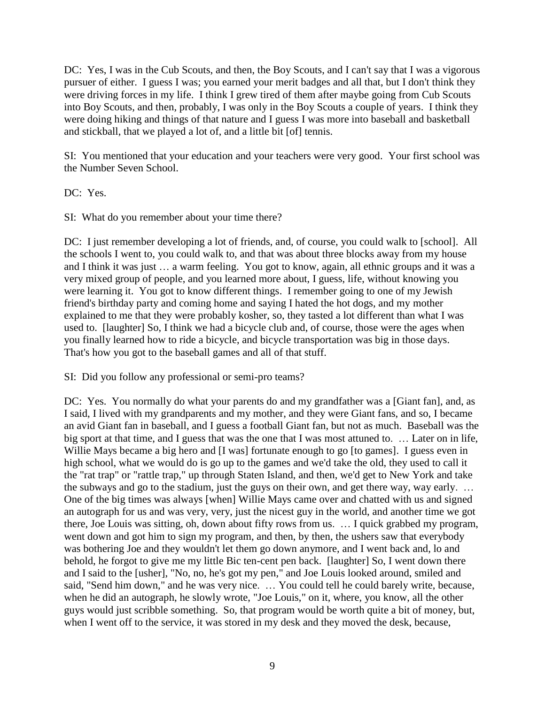DC: Yes, I was in the Cub Scouts, and then, the Boy Scouts, and I can't say that I was a vigorous pursuer of either. I guess I was; you earned your merit badges and all that, but I don't think they were driving forces in my life. I think I grew tired of them after maybe going from Cub Scouts into Boy Scouts, and then, probably, I was only in the Boy Scouts a couple of years. I think they were doing hiking and things of that nature and I guess I was more into baseball and basketball and stickball, that we played a lot of, and a little bit [of] tennis.

SI: You mentioned that your education and your teachers were very good. Your first school was the Number Seven School.

DC: Yes.

SI: What do you remember about your time there?

DC: I just remember developing a lot of friends, and, of course, you could walk to [school]. All the schools I went to, you could walk to, and that was about three blocks away from my house and I think it was just … a warm feeling. You got to know, again, all ethnic groups and it was a very mixed group of people, and you learned more about, I guess, life, without knowing you were learning it. You got to know different things. I remember going to one of my Jewish friend's birthday party and coming home and saying I hated the hot dogs, and my mother explained to me that they were probably kosher, so, they tasted a lot different than what I was used to. [laughter] So, I think we had a bicycle club and, of course, those were the ages when you finally learned how to ride a bicycle, and bicycle transportation was big in those days. That's how you got to the baseball games and all of that stuff.

SI: Did you follow any professional or semi-pro teams?

DC: Yes. You normally do what your parents do and my grandfather was a [Giant fan], and, as I said, I lived with my grandparents and my mother, and they were Giant fans, and so, I became an avid Giant fan in baseball, and I guess a football Giant fan, but not as much. Baseball was the big sport at that time, and I guess that was the one that I was most attuned to. … Later on in life, Willie Mays became a big hero and [I was] fortunate enough to go [to games]. I guess even in high school, what we would do is go up to the games and we'd take the old, they used to call it the "rat trap" or "rattle trap," up through Staten Island, and then, we'd get to New York and take the subways and go to the stadium, just the guys on their own, and get there way, way early. … One of the big times was always [when] Willie Mays came over and chatted with us and signed an autograph for us and was very, very, just the nicest guy in the world, and another time we got there, Joe Louis was sitting, oh, down about fifty rows from us. … I quick grabbed my program, went down and got him to sign my program, and then, by then, the ushers saw that everybody was bothering Joe and they wouldn't let them go down anymore, and I went back and, lo and behold, he forgot to give me my little Bic ten-cent pen back. [laughter] So, I went down there and I said to the [usher], "No, no, he's got my pen," and Joe Louis looked around, smiled and said, "Send him down," and he was very nice. … You could tell he could barely write, because, when he did an autograph, he slowly wrote, "Joe Louis," on it, where, you know, all the other guys would just scribble something. So, that program would be worth quite a bit of money, but, when I went off to the service, it was stored in my desk and they moved the desk, because,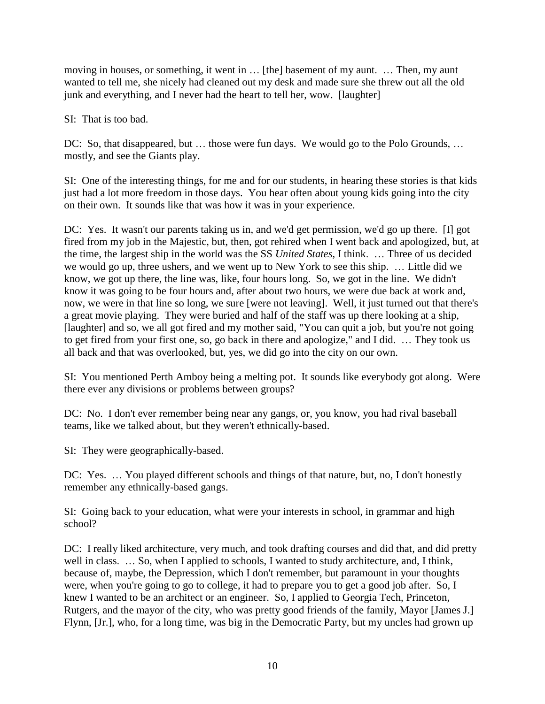moving in houses, or something, it went in … [the] basement of my aunt. … Then, my aunt wanted to tell me, she nicely had cleaned out my desk and made sure she threw out all the old junk and everything, and I never had the heart to tell her, wow. [laughter]

SI: That is too bad.

DC: So, that disappeared, but ... those were fun days. We would go to the Polo Grounds, ... mostly, and see the Giants play.

SI: One of the interesting things, for me and for our students, in hearing these stories is that kids just had a lot more freedom in those days. You hear often about young kids going into the city on their own. It sounds like that was how it was in your experience.

DC: Yes. It wasn't our parents taking us in, and we'd get permission, we'd go up there. [I] got fired from my job in the Majestic, but, then, got rehired when I went back and apologized, but, at the time, the largest ship in the world was the SS *United States*, I think. … Three of us decided we would go up, three ushers, and we went up to New York to see this ship. … Little did we know, we got up there, the line was, like, four hours long. So, we got in the line. We didn't know it was going to be four hours and, after about two hours, we were due back at work and, now, we were in that line so long, we sure [were not leaving]. Well, it just turned out that there's a great movie playing. They were buried and half of the staff was up there looking at a ship, [laughter] and so, we all got fired and my mother said, "You can quit a job, but you're not going to get fired from your first one, so, go back in there and apologize," and I did. … They took us all back and that was overlooked, but, yes, we did go into the city on our own.

SI: You mentioned Perth Amboy being a melting pot. It sounds like everybody got along. Were there ever any divisions or problems between groups?

DC: No. I don't ever remember being near any gangs, or, you know, you had rival baseball teams, like we talked about, but they weren't ethnically-based.

SI: They were geographically-based.

DC: Yes. … You played different schools and things of that nature, but, no, I don't honestly remember any ethnically-based gangs.

SI: Going back to your education, what were your interests in school, in grammar and high school?

DC: I really liked architecture, very much, and took drafting courses and did that, and did pretty well in class. ... So, when I applied to schools, I wanted to study architecture, and, I think, because of, maybe, the Depression, which I don't remember, but paramount in your thoughts were, when you're going to go to college, it had to prepare you to get a good job after. So, I knew I wanted to be an architect or an engineer. So, I applied to Georgia Tech, Princeton, Rutgers, and the mayor of the city, who was pretty good friends of the family, Mayor [James J.] Flynn, [Jr.], who, for a long time, was big in the Democratic Party, but my uncles had grown up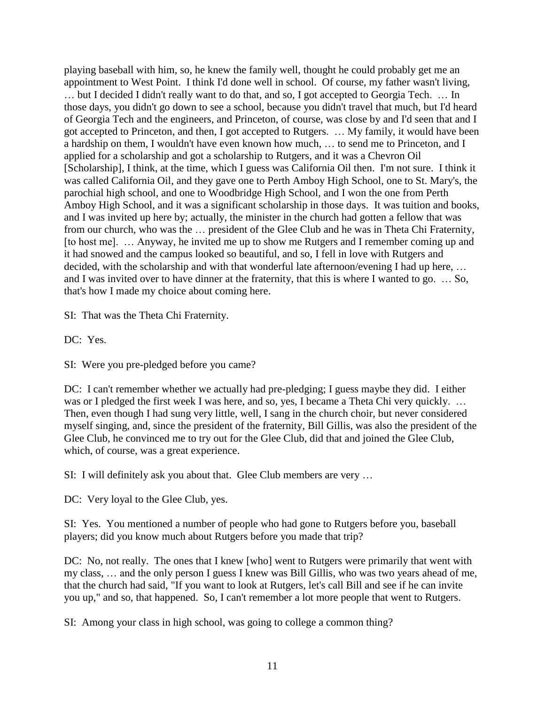playing baseball with him, so, he knew the family well, thought he could probably get me an appointment to West Point. I think I'd done well in school. Of course, my father wasn't living, … but I decided I didn't really want to do that, and so, I got accepted to Georgia Tech. … In those days, you didn't go down to see a school, because you didn't travel that much, but I'd heard of Georgia Tech and the engineers, and Princeton, of course, was close by and I'd seen that and I got accepted to Princeton, and then, I got accepted to Rutgers. … My family, it would have been a hardship on them, I wouldn't have even known how much, … to send me to Princeton, and I applied for a scholarship and got a scholarship to Rutgers, and it was a Chevron Oil [Scholarship], I think, at the time, which I guess was California Oil then. I'm not sure. I think it was called California Oil, and they gave one to Perth Amboy High School, one to St. Mary's, the parochial high school, and one to Woodbridge High School, and I won the one from Perth Amboy High School, and it was a significant scholarship in those days. It was tuition and books, and I was invited up here by; actually, the minister in the church had gotten a fellow that was from our church, who was the … president of the Glee Club and he was in Theta Chi Fraternity, [to host me]. … Anyway, he invited me up to show me Rutgers and I remember coming up and it had snowed and the campus looked so beautiful, and so, I fell in love with Rutgers and decided, with the scholarship and with that wonderful late afternoon/evening I had up here, … and I was invited over to have dinner at the fraternity, that this is where I wanted to go. … So, that's how I made my choice about coming here.

SI: That was the Theta Chi Fraternity.

DC: Yes.

SI: Were you pre-pledged before you came?

DC: I can't remember whether we actually had pre-pledging; I guess maybe they did. I either was or I pledged the first week I was here, and so, yes, I became a Theta Chi very quickly. ... Then, even though I had sung very little, well, I sang in the church choir, but never considered myself singing, and, since the president of the fraternity, Bill Gillis, was also the president of the Glee Club, he convinced me to try out for the Glee Club, did that and joined the Glee Club, which, of course, was a great experience.

SI: I will definitely ask you about that. Glee Club members are very …

DC: Very loyal to the Glee Club, yes.

SI: Yes. You mentioned a number of people who had gone to Rutgers before you, baseball players; did you know much about Rutgers before you made that trip?

DC: No, not really. The ones that I knew [who] went to Rutgers were primarily that went with my class, … and the only person I guess I knew was Bill Gillis, who was two years ahead of me, that the church had said, "If you want to look at Rutgers, let's call Bill and see if he can invite you up," and so, that happened. So, I can't remember a lot more people that went to Rutgers.

SI: Among your class in high school, was going to college a common thing?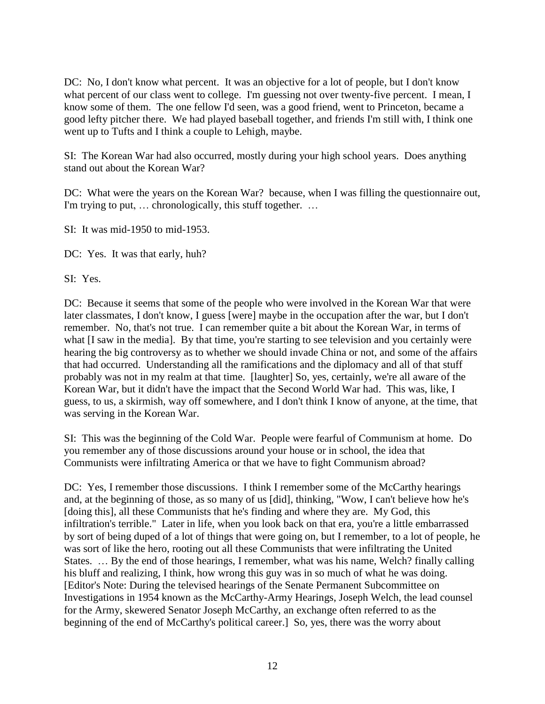DC: No, I don't know what percent. It was an objective for a lot of people, but I don't know what percent of our class went to college. I'm guessing not over twenty-five percent. I mean, I know some of them. The one fellow I'd seen, was a good friend, went to Princeton, became a good lefty pitcher there. We had played baseball together, and friends I'm still with, I think one went up to Tufts and I think a couple to Lehigh, maybe.

SI: The Korean War had also occurred, mostly during your high school years. Does anything stand out about the Korean War?

DC: What were the years on the Korean War? because, when I was filling the questionnaire out, I'm trying to put, … chronologically, this stuff together. …

SI: It was mid-1950 to mid-1953.

DC: Yes. It was that early, huh?

SI: Yes.

DC: Because it seems that some of the people who were involved in the Korean War that were later classmates, I don't know, I guess [were] maybe in the occupation after the war, but I don't remember. No, that's not true. I can remember quite a bit about the Korean War, in terms of what [I saw in the media]. By that time, you're starting to see television and you certainly were hearing the big controversy as to whether we should invade China or not, and some of the affairs that had occurred. Understanding all the ramifications and the diplomacy and all of that stuff probably was not in my realm at that time. [laughter] So, yes, certainly, we're all aware of the Korean War, but it didn't have the impact that the Second World War had. This was, like, I guess, to us, a skirmish, way off somewhere, and I don't think I know of anyone, at the time, that was serving in the Korean War.

SI: This was the beginning of the Cold War. People were fearful of Communism at home. Do you remember any of those discussions around your house or in school, the idea that Communists were infiltrating America or that we have to fight Communism abroad?

DC: Yes, I remember those discussions. I think I remember some of the McCarthy hearings and, at the beginning of those, as so many of us [did], thinking, "Wow, I can't believe how he's [doing this], all these Communists that he's finding and where they are. My God, this infiltration's terrible." Later in life, when you look back on that era, you're a little embarrassed by sort of being duped of a lot of things that were going on, but I remember, to a lot of people, he was sort of like the hero, rooting out all these Communists that were infiltrating the United States. … By the end of those hearings, I remember, what was his name, Welch? finally calling his bluff and realizing, I think, how wrong this guy was in so much of what he was doing. [Editor's Note: During the televised hearings of the Senate Permanent Subcommittee on Investigations in 1954 known as the McCarthy-Army Hearings, Joseph Welch, the lead counsel for the Army, skewered Senator Joseph McCarthy, an exchange often referred to as the beginning of the end of McCarthy's political career.] So, yes, there was the worry about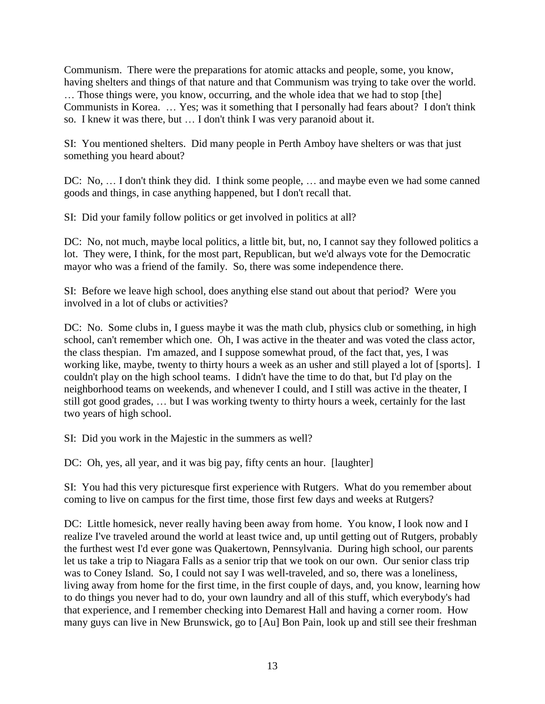Communism. There were the preparations for atomic attacks and people, some, you know, having shelters and things of that nature and that Communism was trying to take over the world. … Those things were, you know, occurring, and the whole idea that we had to stop [the] Communists in Korea. … Yes; was it something that I personally had fears about? I don't think so. I knew it was there, but … I don't think I was very paranoid about it.

SI: You mentioned shelters. Did many people in Perth Amboy have shelters or was that just something you heard about?

DC: No, ... I don't think they did. I think some people, ... and maybe even we had some canned goods and things, in case anything happened, but I don't recall that.

SI: Did your family follow politics or get involved in politics at all?

DC: No, not much, maybe local politics, a little bit, but, no, I cannot say they followed politics a lot. They were, I think, for the most part, Republican, but we'd always vote for the Democratic mayor who was a friend of the family. So, there was some independence there.

SI: Before we leave high school, does anything else stand out about that period? Were you involved in a lot of clubs or activities?

DC: No. Some clubs in, I guess maybe it was the math club, physics club or something, in high school, can't remember which one. Oh, I was active in the theater and was voted the class actor, the class thespian. I'm amazed, and I suppose somewhat proud, of the fact that, yes, I was working like, maybe, twenty to thirty hours a week as an usher and still played a lot of [sports]. I couldn't play on the high school teams. I didn't have the time to do that, but I'd play on the neighborhood teams on weekends, and whenever I could, and I still was active in the theater, I still got good grades, … but I was working twenty to thirty hours a week, certainly for the last two years of high school.

SI: Did you work in the Majestic in the summers as well?

DC: Oh, yes, all year, and it was big pay, fifty cents an hour. [laughter]

SI: You had this very picturesque first experience with Rutgers. What do you remember about coming to live on campus for the first time, those first few days and weeks at Rutgers?

DC: Little homesick, never really having been away from home. You know, I look now and I realize I've traveled around the world at least twice and, up until getting out of Rutgers, probably the furthest west I'd ever gone was Quakertown, Pennsylvania. During high school, our parents let us take a trip to Niagara Falls as a senior trip that we took on our own. Our senior class trip was to Coney Island. So, I could not say I was well-traveled, and so, there was a loneliness, living away from home for the first time, in the first couple of days, and, you know, learning how to do things you never had to do, your own laundry and all of this stuff, which everybody's had that experience, and I remember checking into Demarest Hall and having a corner room. How many guys can live in New Brunswick, go to [Au] Bon Pain, look up and still see their freshman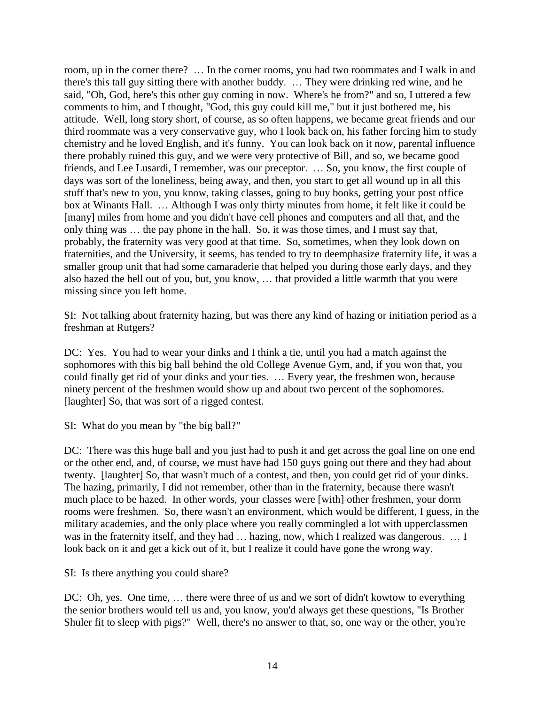room, up in the corner there? … In the corner rooms, you had two roommates and I walk in and there's this tall guy sitting there with another buddy. … They were drinking red wine, and he said, "Oh, God, here's this other guy coming in now. Where's he from?" and so, I uttered a few comments to him, and I thought, "God, this guy could kill me," but it just bothered me, his attitude. Well, long story short, of course, as so often happens, we became great friends and our third roommate was a very conservative guy, who I look back on, his father forcing him to study chemistry and he loved English, and it's funny. You can look back on it now, parental influence there probably ruined this guy, and we were very protective of Bill, and so, we became good friends, and Lee Lusardi, I remember, was our preceptor. … So, you know, the first couple of days was sort of the loneliness, being away, and then, you start to get all wound up in all this stuff that's new to you, you know, taking classes, going to buy books, getting your post office box at Winants Hall. … Although I was only thirty minutes from home, it felt like it could be [many] miles from home and you didn't have cell phones and computers and all that, and the only thing was … the pay phone in the hall. So, it was those times, and I must say that, probably, the fraternity was very good at that time. So, sometimes, when they look down on fraternities, and the University, it seems, has tended to try to deemphasize fraternity life, it was a smaller group unit that had some camaraderie that helped you during those early days, and they also hazed the hell out of you, but, you know, … that provided a little warmth that you were missing since you left home.

SI: Not talking about fraternity hazing, but was there any kind of hazing or initiation period as a freshman at Rutgers?

DC: Yes. You had to wear your dinks and I think a tie, until you had a match against the sophomores with this big ball behind the old College Avenue Gym, and, if you won that, you could finally get rid of your dinks and your ties. … Every year, the freshmen won, because ninety percent of the freshmen would show up and about two percent of the sophomores. [laughter] So, that was sort of a rigged contest.

SI: What do you mean by "the big ball?"

DC: There was this huge ball and you just had to push it and get across the goal line on one end or the other end, and, of course, we must have had 150 guys going out there and they had about twenty. [laughter] So, that wasn't much of a contest, and then, you could get rid of your dinks. The hazing, primarily, I did not remember, other than in the fraternity, because there wasn't much place to be hazed. In other words, your classes were [with] other freshmen, your dorm rooms were freshmen. So, there wasn't an environment, which would be different, I guess, in the military academies, and the only place where you really commingled a lot with upperclassmen was in the fraternity itself, and they had … hazing, now, which I realized was dangerous. … I look back on it and get a kick out of it, but I realize it could have gone the wrong way.

SI: Is there anything you could share?

DC: Oh, yes. One time, ... there were three of us and we sort of didn't kowtow to everything the senior brothers would tell us and, you know, you'd always get these questions, "Is Brother Shuler fit to sleep with pigs?" Well, there's no answer to that, so, one way or the other, you're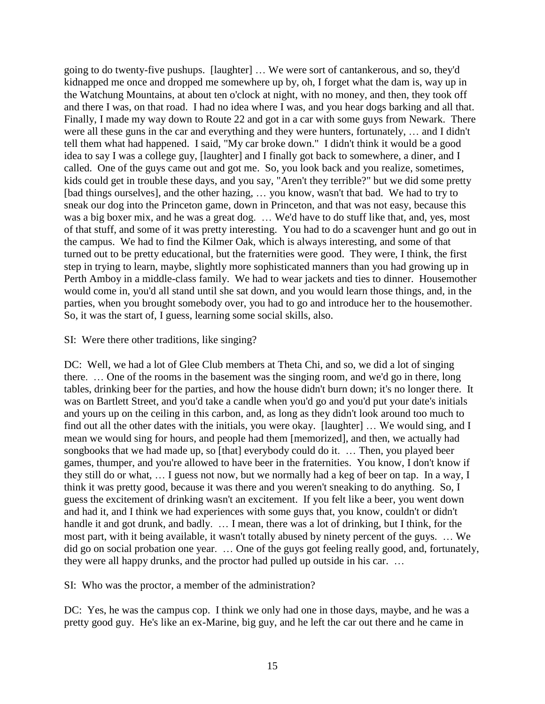going to do twenty-five pushups. [laughter] … We were sort of cantankerous, and so, they'd kidnapped me once and dropped me somewhere up by, oh, I forget what the dam is, way up in the Watchung Mountains, at about ten o'clock at night, with no money, and then, they took off and there I was, on that road. I had no idea where I was, and you hear dogs barking and all that. Finally, I made my way down to Route 22 and got in a car with some guys from Newark. There were all these guns in the car and everything and they were hunters, fortunately, … and I didn't tell them what had happened. I said, "My car broke down." I didn't think it would be a good idea to say I was a college guy, [laughter] and I finally got back to somewhere, a diner, and I called. One of the guys came out and got me. So, you look back and you realize, sometimes, kids could get in trouble these days, and you say, "Aren't they terrible?" but we did some pretty [bad things ourselves], and the other hazing, … you know, wasn't that bad. We had to try to sneak our dog into the Princeton game, down in Princeton, and that was not easy, because this was a big boxer mix, and he was a great dog. … We'd have to do stuff like that, and, yes, most of that stuff, and some of it was pretty interesting. You had to do a scavenger hunt and go out in the campus. We had to find the Kilmer Oak, which is always interesting, and some of that turned out to be pretty educational, but the fraternities were good. They were, I think, the first step in trying to learn, maybe, slightly more sophisticated manners than you had growing up in Perth Amboy in a middle-class family. We had to wear jackets and ties to dinner. Housemother would come in, you'd all stand until she sat down, and you would learn those things, and, in the parties, when you brought somebody over, you had to go and introduce her to the housemother. So, it was the start of, I guess, learning some social skills, also.

### SI: Were there other traditions, like singing?

DC: Well, we had a lot of Glee Club members at Theta Chi, and so, we did a lot of singing there. … One of the rooms in the basement was the singing room, and we'd go in there, long tables, drinking beer for the parties, and how the house didn't burn down; it's no longer there. It was on Bartlett Street, and you'd take a candle when you'd go and you'd put your date's initials and yours up on the ceiling in this carbon, and, as long as they didn't look around too much to find out all the other dates with the initials, you were okay. [laughter] … We would sing, and I mean we would sing for hours, and people had them [memorized], and then, we actually had songbooks that we had made up, so [that] everybody could do it. … Then, you played beer games, thumper, and you're allowed to have beer in the fraternities. You know, I don't know if they still do or what, … I guess not now, but we normally had a keg of beer on tap. In a way, I think it was pretty good, because it was there and you weren't sneaking to do anything. So, I guess the excitement of drinking wasn't an excitement. If you felt like a beer, you went down and had it, and I think we had experiences with some guys that, you know, couldn't or didn't handle it and got drunk, and badly. ... I mean, there was a lot of drinking, but I think, for the most part, with it being available, it wasn't totally abused by ninety percent of the guys. … We did go on social probation one year. … One of the guys got feeling really good, and, fortunately, they were all happy drunks, and the proctor had pulled up outside in his car. …

SI: Who was the proctor, a member of the administration?

DC: Yes, he was the campus cop. I think we only had one in those days, maybe, and he was a pretty good guy. He's like an ex-Marine, big guy, and he left the car out there and he came in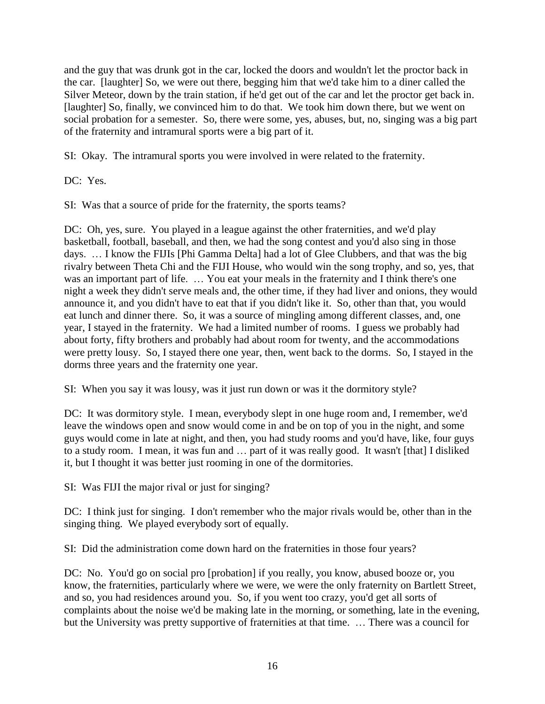and the guy that was drunk got in the car, locked the doors and wouldn't let the proctor back in the car. [laughter] So, we were out there, begging him that we'd take him to a diner called the Silver Meteor, down by the train station, if he'd get out of the car and let the proctor get back in. [laughter] So, finally, we convinced him to do that. We took him down there, but we went on social probation for a semester. So, there were some, yes, abuses, but, no, singing was a big part of the fraternity and intramural sports were a big part of it.

SI: Okay. The intramural sports you were involved in were related to the fraternity.

DC: Yes.

SI: Was that a source of pride for the fraternity, the sports teams?

DC: Oh, yes, sure. You played in a league against the other fraternities, and we'd play basketball, football, baseball, and then, we had the song contest and you'd also sing in those days. … I know the FIJIs [Phi Gamma Delta] had a lot of Glee Clubbers, and that was the big rivalry between Theta Chi and the FIJI House, who would win the song trophy, and so, yes, that was an important part of life. … You eat your meals in the fraternity and I think there's one night a week they didn't serve meals and, the other time, if they had liver and onions, they would announce it, and you didn't have to eat that if you didn't like it. So, other than that, you would eat lunch and dinner there. So, it was a source of mingling among different classes, and, one year, I stayed in the fraternity. We had a limited number of rooms. I guess we probably had about forty, fifty brothers and probably had about room for twenty, and the accommodations were pretty lousy. So, I stayed there one year, then, went back to the dorms. So, I stayed in the dorms three years and the fraternity one year.

SI: When you say it was lousy, was it just run down or was it the dormitory style?

DC: It was dormitory style. I mean, everybody slept in one huge room and, I remember, we'd leave the windows open and snow would come in and be on top of you in the night, and some guys would come in late at night, and then, you had study rooms and you'd have, like, four guys to a study room. I mean, it was fun and … part of it was really good. It wasn't [that] I disliked it, but I thought it was better just rooming in one of the dormitories.

SI: Was FIJI the major rival or just for singing?

DC: I think just for singing. I don't remember who the major rivals would be, other than in the singing thing. We played everybody sort of equally.

SI: Did the administration come down hard on the fraternities in those four years?

DC: No. You'd go on social pro [probation] if you really, you know, abused booze or, you know, the fraternities, particularly where we were, we were the only fraternity on Bartlett Street, and so, you had residences around you. So, if you went too crazy, you'd get all sorts of complaints about the noise we'd be making late in the morning, or something, late in the evening, but the University was pretty supportive of fraternities at that time. … There was a council for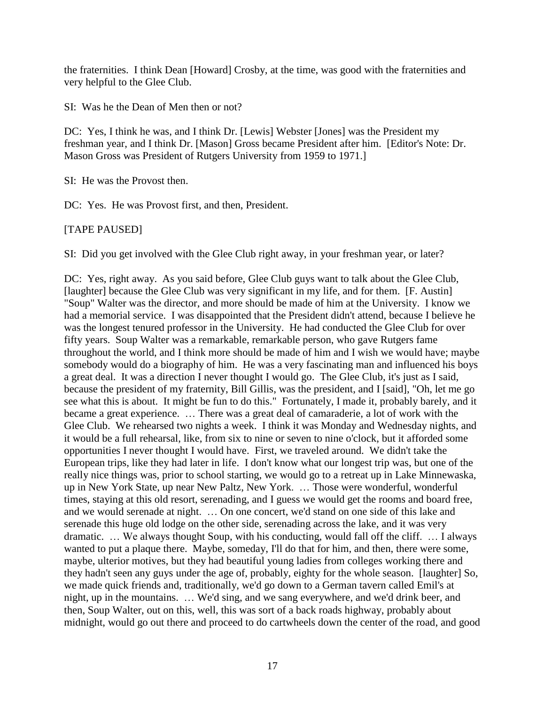the fraternities. I think Dean [Howard] Crosby, at the time, was good with the fraternities and very helpful to the Glee Club.

SI: Was he the Dean of Men then or not?

DC: Yes, I think he was, and I think Dr. [Lewis] Webster [Jones] was the President my freshman year, and I think Dr. [Mason] Gross became President after him. [Editor's Note: Dr. Mason Gross was President of Rutgers University from 1959 to 1971.]

SI: He was the Provost then.

DC: Yes. He was Provost first, and then, President.

[TAPE PAUSED]

SI: Did you get involved with the Glee Club right away, in your freshman year, or later?

DC: Yes, right away. As you said before, Glee Club guys want to talk about the Glee Club, [laughter] because the Glee Club was very significant in my life, and for them. [F. Austin] "Soup" Walter was the director, and more should be made of him at the University. I know we had a memorial service. I was disappointed that the President didn't attend, because I believe he was the longest tenured professor in the University. He had conducted the Glee Club for over fifty years. Soup Walter was a remarkable, remarkable person, who gave Rutgers fame throughout the world, and I think more should be made of him and I wish we would have; maybe somebody would do a biography of him. He was a very fascinating man and influenced his boys a great deal. It was a direction I never thought I would go. The Glee Club, it's just as I said, because the president of my fraternity, Bill Gillis, was the president, and I [said], "Oh, let me go see what this is about. It might be fun to do this." Fortunately, I made it, probably barely, and it became a great experience. … There was a great deal of camaraderie, a lot of work with the Glee Club. We rehearsed two nights a week. I think it was Monday and Wednesday nights, and it would be a full rehearsal, like, from six to nine or seven to nine o'clock, but it afforded some opportunities I never thought I would have. First, we traveled around. We didn't take the European trips, like they had later in life. I don't know what our longest trip was, but one of the really nice things was, prior to school starting, we would go to a retreat up in Lake Minnewaska, up in New York State, up near New Paltz, New York. … Those were wonderful, wonderful times, staying at this old resort, serenading, and I guess we would get the rooms and board free, and we would serenade at night. … On one concert, we'd stand on one side of this lake and serenade this huge old lodge on the other side, serenading across the lake, and it was very dramatic. … We always thought Soup, with his conducting, would fall off the cliff. … I always wanted to put a plaque there. Maybe, someday, I'll do that for him, and then, there were some, maybe, ulterior motives, but they had beautiful young ladies from colleges working there and they hadn't seen any guys under the age of, probably, eighty for the whole season. [laughter] So, we made quick friends and, traditionally, we'd go down to a German tavern called Emil's at night, up in the mountains. … We'd sing, and we sang everywhere, and we'd drink beer, and then, Soup Walter, out on this, well, this was sort of a back roads highway, probably about midnight, would go out there and proceed to do cartwheels down the center of the road, and good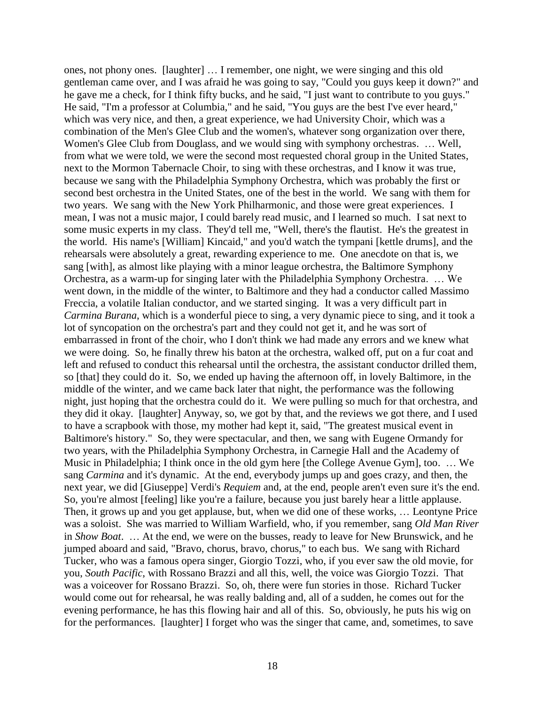ones, not phony ones. [laughter] … I remember, one night, we were singing and this old gentleman came over, and I was afraid he was going to say, "Could you guys keep it down?" and he gave me a check, for I think fifty bucks, and he said, "I just want to contribute to you guys." He said, "I'm a professor at Columbia," and he said, "You guys are the best I've ever heard," which was very nice, and then, a great experience, we had University Choir, which was a combination of the Men's Glee Club and the women's, whatever song organization over there, Women's Glee Club from Douglass, and we would sing with symphony orchestras. … Well, from what we were told, we were the second most requested choral group in the United States, next to the Mormon Tabernacle Choir, to sing with these orchestras, and I know it was true, because we sang with the Philadelphia Symphony Orchestra, which was probably the first or second best orchestra in the United States, one of the best in the world. We sang with them for two years. We sang with the New York Philharmonic, and those were great experiences. I mean, I was not a music major, I could barely read music, and I learned so much. I sat next to some music experts in my class. They'd tell me, "Well, there's the flautist. He's the greatest in the world. His name's [William] Kincaid," and you'd watch the tympani [kettle drums], and the rehearsals were absolutely a great, rewarding experience to me. One anecdote on that is, we sang [with], as almost like playing with a minor league orchestra, the Baltimore Symphony Orchestra, as a warm-up for singing later with the Philadelphia Symphony Orchestra. … We went down, in the middle of the winter, to Baltimore and they had a conductor called Massimo Freccia, a volatile Italian conductor, and we started singing. It was a very difficult part in *Carmina Burana*, which is a wonderful piece to sing, a very dynamic piece to sing, and it took a lot of syncopation on the orchestra's part and they could not get it, and he was sort of embarrassed in front of the choir, who I don't think we had made any errors and we knew what we were doing. So, he finally threw his baton at the orchestra, walked off, put on a fur coat and left and refused to conduct this rehearsal until the orchestra, the assistant conductor drilled them, so [that] they could do it. So, we ended up having the afternoon off, in lovely Baltimore, in the middle of the winter, and we came back later that night, the performance was the following night, just hoping that the orchestra could do it. We were pulling so much for that orchestra, and they did it okay. [laughter] Anyway, so, we got by that, and the reviews we got there, and I used to have a scrapbook with those, my mother had kept it, said, "The greatest musical event in Baltimore's history." So, they were spectacular, and then, we sang with Eugene Ormandy for two years, with the Philadelphia Symphony Orchestra, in Carnegie Hall and the Academy of Music in Philadelphia; I think once in the old gym here [the College Avenue Gym], too. … We sang *Carmina* and it's dynamic. At the end, everybody jumps up and goes crazy, and then, the next year, we did [Giuseppe] Verdi's *Requiem* and, at the end, people aren't even sure it's the end. So, you're almost [feeling] like you're a failure, because you just barely hear a little applause. Then, it grows up and you get applause, but, when we did one of these works, … Leontyne Price was a soloist. She was married to William Warfield, who, if you remember, sang *Old Man River* in *Show Boat*. … At the end, we were on the busses, ready to leave for New Brunswick, and he jumped aboard and said, "Bravo, chorus, bravo, chorus," to each bus. We sang with Richard Tucker, who was a famous opera singer, Giorgio Tozzi, who, if you ever saw the old movie, for you, *South Pacific*, with Rossano Brazzi and all this, well, the voice was Giorgio Tozzi. That was a voiceover for Rossano Brazzi. So, oh, there were fun stories in those. Richard Tucker would come out for rehearsal, he was really balding and, all of a sudden, he comes out for the evening performance, he has this flowing hair and all of this. So, obviously, he puts his wig on for the performances. [laughter] I forget who was the singer that came, and, sometimes, to save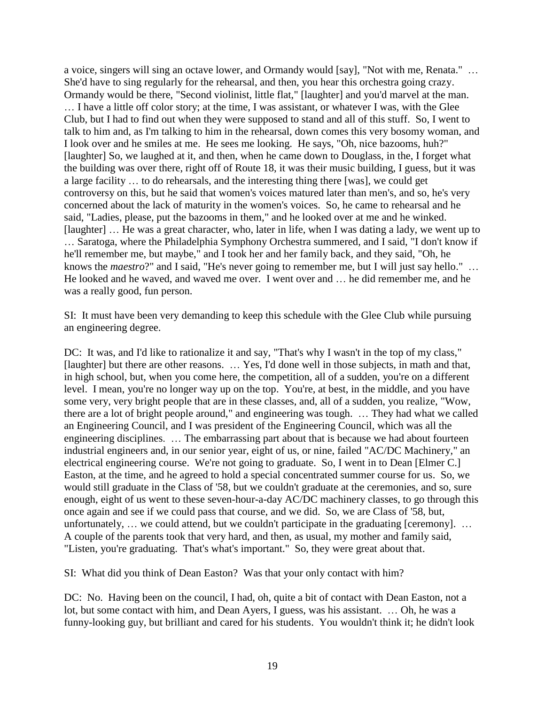a voice, singers will sing an octave lower, and Ormandy would [say], "Not with me, Renata." … She'd have to sing regularly for the rehearsal, and then, you hear this orchestra going crazy. Ormandy would be there, "Second violinist, little flat," [laughter] and you'd marvel at the man.

… I have a little off color story; at the time, I was assistant, or whatever I was, with the Glee Club, but I had to find out when they were supposed to stand and all of this stuff. So, I went to talk to him and, as I'm talking to him in the rehearsal, down comes this very bosomy woman, and I look over and he smiles at me. He sees me looking. He says, "Oh, nice bazooms, huh?" [laughter] So, we laughed at it, and then, when he came down to Douglass, in the, I forget what the building was over there, right off of Route 18, it was their music building, I guess, but it was a large facility … to do rehearsals, and the interesting thing there [was], we could get controversy on this, but he said that women's voices matured later than men's, and so, he's very concerned about the lack of maturity in the women's voices. So, he came to rehearsal and he said, "Ladies, please, put the bazooms in them," and he looked over at me and he winked. [laughter] … He was a great character, who, later in life, when I was dating a lady, we went up to … Saratoga, where the Philadelphia Symphony Orchestra summered, and I said, "I don't know if he'll remember me, but maybe," and I took her and her family back, and they said, "Oh, he knows the *maestro*?" and I said, "He's never going to remember me, but I will just say hello." … He looked and he waved, and waved me over. I went over and … he did remember me, and he was a really good, fun person.

SI: It must have been very demanding to keep this schedule with the Glee Club while pursuing an engineering degree.

DC: It was, and I'd like to rationalize it and say, "That's why I wasn't in the top of my class," [laughter] but there are other reasons. … Yes, I'd done well in those subjects, in math and that, in high school, but, when you come here, the competition, all of a sudden, you're on a different level. I mean, you're no longer way up on the top. You're, at best, in the middle, and you have some very, very bright people that are in these classes, and, all of a sudden, you realize, "Wow, there are a lot of bright people around," and engineering was tough. … They had what we called an Engineering Council, and I was president of the Engineering Council, which was all the engineering disciplines. … The embarrassing part about that is because we had about fourteen industrial engineers and, in our senior year, eight of us, or nine, failed "AC/DC Machinery," an electrical engineering course. We're not going to graduate. So, I went in to Dean [Elmer C.] Easton, at the time, and he agreed to hold a special concentrated summer course for us. So, we would still graduate in the Class of '58, but we couldn't graduate at the ceremonies, and so, sure enough, eight of us went to these seven-hour-a-day AC/DC machinery classes, to go through this once again and see if we could pass that course, and we did. So, we are Class of '58, but, unfortunately, ... we could attend, but we couldn't participate in the graduating [ceremony]. ... A couple of the parents took that very hard, and then, as usual, my mother and family said, "Listen, you're graduating. That's what's important." So, they were great about that.

SI: What did you think of Dean Easton? Was that your only contact with him?

DC: No. Having been on the council, I had, oh, quite a bit of contact with Dean Easton, not a lot, but some contact with him, and Dean Ayers, I guess, was his assistant. … Oh, he was a funny-looking guy, but brilliant and cared for his students. You wouldn't think it; he didn't look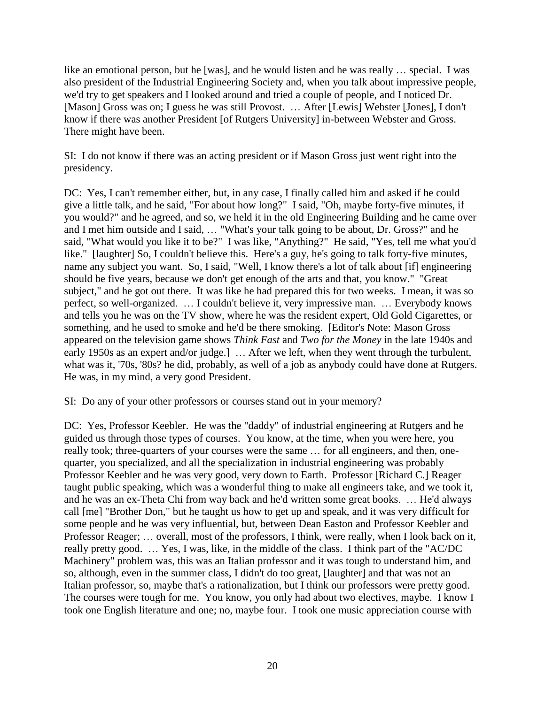like an emotional person, but he [was], and he would listen and he was really … special. I was also president of the Industrial Engineering Society and, when you talk about impressive people, we'd try to get speakers and I looked around and tried a couple of people, and I noticed Dr. [Mason] Gross was on; I guess he was still Provost. … After [Lewis] Webster [Jones], I don't know if there was another President [of Rutgers University] in-between Webster and Gross. There might have been.

SI: I do not know if there was an acting president or if Mason Gross just went right into the presidency.

DC: Yes, I can't remember either, but, in any case, I finally called him and asked if he could give a little talk, and he said, "For about how long?" I said, "Oh, maybe forty-five minutes, if you would?" and he agreed, and so, we held it in the old Engineering Building and he came over and I met him outside and I said, … "What's your talk going to be about, Dr. Gross?" and he said, "What would you like it to be?" I was like, "Anything?" He said, "Yes, tell me what you'd like." [laughter] So, I couldn't believe this. Here's a guy, he's going to talk forty-five minutes, name any subject you want. So, I said, "Well, I know there's a lot of talk about [if] engineering should be five years, because we don't get enough of the arts and that, you know." "Great subject," and he got out there. It was like he had prepared this for two weeks. I mean, it was so perfect, so well-organized. … I couldn't believe it, very impressive man. … Everybody knows and tells you he was on the TV show, where he was the resident expert, Old Gold Cigarettes, or something, and he used to smoke and he'd be there smoking. [Editor's Note: Mason Gross appeared on the television game shows *Think Fast* and *Two for the Money* in the late 1940s and early 1950s as an expert and/or judge.] ... After we left, when they went through the turbulent, what was it, '70s, '80s? he did, probably, as well of a job as anybody could have done at Rutgers. He was, in my mind, a very good President.

SI: Do any of your other professors or courses stand out in your memory?

DC: Yes, Professor Keebler. He was the "daddy" of industrial engineering at Rutgers and he guided us through those types of courses. You know, at the time, when you were here, you really took; three-quarters of your courses were the same … for all engineers, and then, onequarter, you specialized, and all the specialization in industrial engineering was probably Professor Keebler and he was very good, very down to Earth. Professor [Richard C.] Reager taught public speaking, which was a wonderful thing to make all engineers take, and we took it, and he was an ex-Theta Chi from way back and he'd written some great books. … He'd always call [me] "Brother Don," but he taught us how to get up and speak, and it was very difficult for some people and he was very influential, but, between Dean Easton and Professor Keebler and Professor Reager; … overall, most of the professors, I think, were really, when I look back on it, really pretty good. … Yes, I was, like, in the middle of the class. I think part of the "AC/DC Machinery" problem was, this was an Italian professor and it was tough to understand him, and so, although, even in the summer class, I didn't do too great, [laughter] and that was not an Italian professor, so, maybe that's a rationalization, but I think our professors were pretty good. The courses were tough for me. You know, you only had about two electives, maybe. I know I took one English literature and one; no, maybe four. I took one music appreciation course with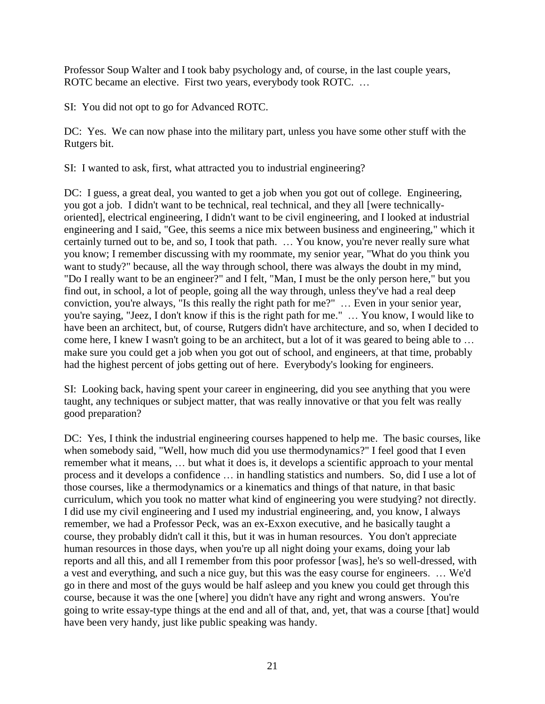Professor Soup Walter and I took baby psychology and, of course, in the last couple years, ROTC became an elective. First two years, everybody took ROTC. …

SI: You did not opt to go for Advanced ROTC.

DC: Yes. We can now phase into the military part, unless you have some other stuff with the Rutgers bit.

SI: I wanted to ask, first, what attracted you to industrial engineering?

DC: I guess, a great deal, you wanted to get a job when you got out of college. Engineering, you got a job. I didn't want to be technical, real technical, and they all [were technicallyoriented], electrical engineering, I didn't want to be civil engineering, and I looked at industrial engineering and I said, "Gee, this seems a nice mix between business and engineering," which it certainly turned out to be, and so, I took that path. … You know, you're never really sure what you know; I remember discussing with my roommate, my senior year, "What do you think you want to study?" because, all the way through school, there was always the doubt in my mind, "Do I really want to be an engineer?" and I felt, "Man, I must be the only person here," but you find out, in school, a lot of people, going all the way through, unless they've had a real deep conviction, you're always, "Is this really the right path for me?" … Even in your senior year, you're saying, "Jeez, I don't know if this is the right path for me." … You know, I would like to have been an architect, but, of course, Rutgers didn't have architecture, and so, when I decided to come here, I knew I wasn't going to be an architect, but a lot of it was geared to being able to … make sure you could get a job when you got out of school, and engineers, at that time, probably had the highest percent of jobs getting out of here. Everybody's looking for engineers.

SI: Looking back, having spent your career in engineering, did you see anything that you were taught, any techniques or subject matter, that was really innovative or that you felt was really good preparation?

DC: Yes, I think the industrial engineering courses happened to help me. The basic courses, like when somebody said, "Well, how much did you use thermodynamics?" I feel good that I even remember what it means, … but what it does is, it develops a scientific approach to your mental process and it develops a confidence … in handling statistics and numbers. So, did I use a lot of those courses, like a thermodynamics or a kinematics and things of that nature, in that basic curriculum, which you took no matter what kind of engineering you were studying? not directly. I did use my civil engineering and I used my industrial engineering, and, you know, I always remember, we had a Professor Peck, was an ex-Exxon executive, and he basically taught a course, they probably didn't call it this, but it was in human resources. You don't appreciate human resources in those days, when you're up all night doing your exams, doing your lab reports and all this, and all I remember from this poor professor [was], he's so well-dressed, with a vest and everything, and such a nice guy, but this was the easy course for engineers. … We'd go in there and most of the guys would be half asleep and you knew you could get through this course, because it was the one [where] you didn't have any right and wrong answers. You're going to write essay-type things at the end and all of that, and, yet, that was a course [that] would have been very handy, just like public speaking was handy.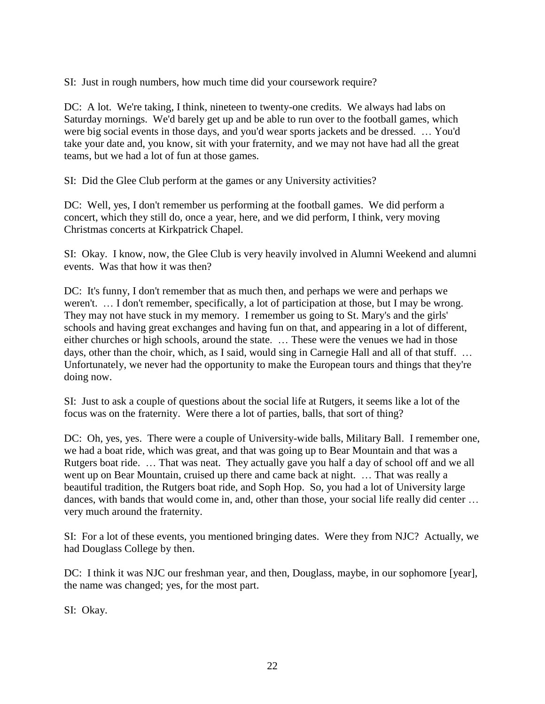SI: Just in rough numbers, how much time did your coursework require?

DC: A lot. We're taking, I think, nineteen to twenty-one credits. We always had labs on Saturday mornings. We'd barely get up and be able to run over to the football games, which were big social events in those days, and you'd wear sports jackets and be dressed. … You'd take your date and, you know, sit with your fraternity, and we may not have had all the great teams, but we had a lot of fun at those games.

SI: Did the Glee Club perform at the games or any University activities?

DC: Well, yes, I don't remember us performing at the football games. We did perform a concert, which they still do, once a year, here, and we did perform, I think, very moving Christmas concerts at Kirkpatrick Chapel.

SI: Okay. I know, now, the Glee Club is very heavily involved in Alumni Weekend and alumni events. Was that how it was then?

DC: It's funny, I don't remember that as much then, and perhaps we were and perhaps we weren't. … I don't remember, specifically, a lot of participation at those, but I may be wrong. They may not have stuck in my memory. I remember us going to St. Mary's and the girls' schools and having great exchanges and having fun on that, and appearing in a lot of different, either churches or high schools, around the state. … These were the venues we had in those days, other than the choir, which, as I said, would sing in Carnegie Hall and all of that stuff. ... Unfortunately, we never had the opportunity to make the European tours and things that they're doing now.

SI: Just to ask a couple of questions about the social life at Rutgers, it seems like a lot of the focus was on the fraternity. Were there a lot of parties, balls, that sort of thing?

DC: Oh, yes, yes. There were a couple of University-wide balls, Military Ball. I remember one, we had a boat ride, which was great, and that was going up to Bear Mountain and that was a Rutgers boat ride. … That was neat. They actually gave you half a day of school off and we all went up on Bear Mountain, cruised up there and came back at night. … That was really a beautiful tradition, the Rutgers boat ride, and Soph Hop. So, you had a lot of University large dances, with bands that would come in, and, other than those, your social life really did center ... very much around the fraternity.

SI: For a lot of these events, you mentioned bringing dates. Were they from NJC? Actually, we had Douglass College by then.

DC: I think it was NJC our freshman year, and then, Douglass, maybe, in our sophomore [year], the name was changed; yes, for the most part.

SI: Okay.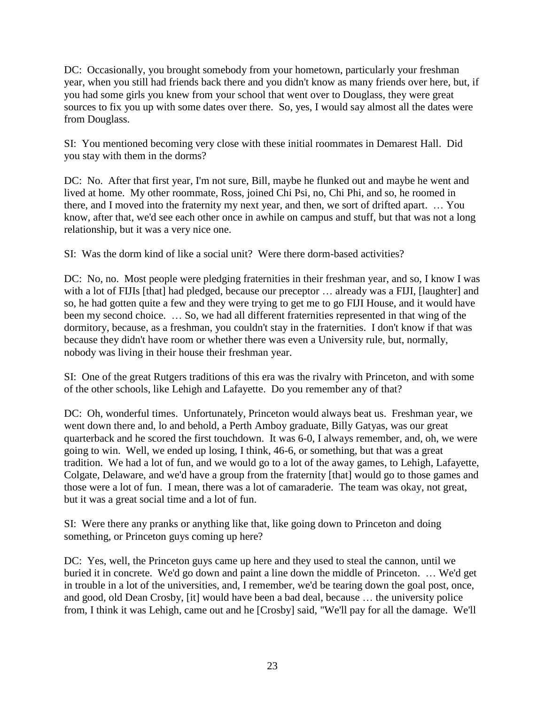DC: Occasionally, you brought somebody from your hometown, particularly your freshman year, when you still had friends back there and you didn't know as many friends over here, but, if you had some girls you knew from your school that went over to Douglass, they were great sources to fix you up with some dates over there. So, yes, I would say almost all the dates were from Douglass.

SI: You mentioned becoming very close with these initial roommates in Demarest Hall. Did you stay with them in the dorms?

DC: No. After that first year, I'm not sure, Bill, maybe he flunked out and maybe he went and lived at home. My other roommate, Ross, joined Chi Psi, no, Chi Phi, and so, he roomed in there, and I moved into the fraternity my next year, and then, we sort of drifted apart. … You know, after that, we'd see each other once in awhile on campus and stuff, but that was not a long relationship, but it was a very nice one.

SI: Was the dorm kind of like a social unit? Were there dorm-based activities?

DC: No, no. Most people were pledging fraternities in their freshman year, and so, I know I was with a lot of FIJIs [that] had pledged, because our preceptor ... already was a FIJI, [laughter] and so, he had gotten quite a few and they were trying to get me to go FIJI House, and it would have been my second choice. … So, we had all different fraternities represented in that wing of the dormitory, because, as a freshman, you couldn't stay in the fraternities. I don't know if that was because they didn't have room or whether there was even a University rule, but, normally, nobody was living in their house their freshman year.

SI: One of the great Rutgers traditions of this era was the rivalry with Princeton, and with some of the other schools, like Lehigh and Lafayette. Do you remember any of that?

DC: Oh, wonderful times. Unfortunately, Princeton would always beat us. Freshman year, we went down there and, lo and behold, a Perth Amboy graduate, Billy Gatyas, was our great quarterback and he scored the first touchdown. It was 6-0, I always remember, and, oh, we were going to win. Well, we ended up losing, I think, 46-6, or something, but that was a great tradition. We had a lot of fun, and we would go to a lot of the away games, to Lehigh, Lafayette, Colgate, Delaware, and we'd have a group from the fraternity [that] would go to those games and those were a lot of fun. I mean, there was a lot of camaraderie. The team was okay, not great, but it was a great social time and a lot of fun.

SI: Were there any pranks or anything like that, like going down to Princeton and doing something, or Princeton guys coming up here?

DC: Yes, well, the Princeton guys came up here and they used to steal the cannon, until we buried it in concrete. We'd go down and paint a line down the middle of Princeton. … We'd get in trouble in a lot of the universities, and, I remember, we'd be tearing down the goal post, once, and good, old Dean Crosby, [it] would have been a bad deal, because … the university police from, I think it was Lehigh, came out and he [Crosby] said, "We'll pay for all the damage. We'll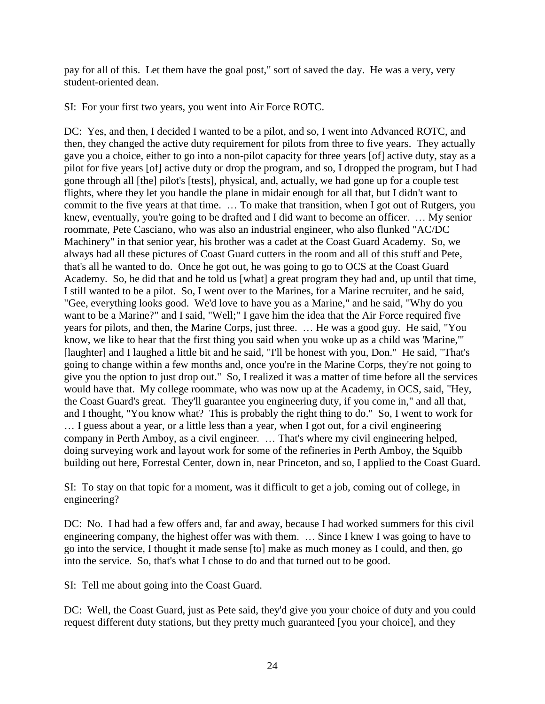pay for all of this. Let them have the goal post," sort of saved the day. He was a very, very student-oriented dean.

SI: For your first two years, you went into Air Force ROTC.

DC: Yes, and then, I decided I wanted to be a pilot, and so, I went into Advanced ROTC, and then, they changed the active duty requirement for pilots from three to five years. They actually gave you a choice, either to go into a non-pilot capacity for three years [of] active duty, stay as a pilot for five years [of] active duty or drop the program, and so, I dropped the program, but I had gone through all [the] pilot's [tests], physical, and, actually, we had gone up for a couple test flights, where they let you handle the plane in midair enough for all that, but I didn't want to commit to the five years at that time. … To make that transition, when I got out of Rutgers, you knew, eventually, you're going to be drafted and I did want to become an officer. … My senior roommate, Pete Casciano, who was also an industrial engineer, who also flunked "AC/DC Machinery" in that senior year, his brother was a cadet at the Coast Guard Academy. So, we always had all these pictures of Coast Guard cutters in the room and all of this stuff and Pete, that's all he wanted to do. Once he got out, he was going to go to OCS at the Coast Guard Academy. So, he did that and he told us [what] a great program they had and, up until that time, I still wanted to be a pilot. So, I went over to the Marines, for a Marine recruiter, and he said, "Gee, everything looks good. We'd love to have you as a Marine," and he said, "Why do you want to be a Marine?" and I said, "Well;" I gave him the idea that the Air Force required five years for pilots, and then, the Marine Corps, just three. … He was a good guy. He said, "You know, we like to hear that the first thing you said when you woke up as a child was 'Marine,'" [laughter] and I laughed a little bit and he said, "I'll be honest with you, Don." He said, "That's going to change within a few months and, once you're in the Marine Corps, they're not going to give you the option to just drop out." So, I realized it was a matter of time before all the services would have that. My college roommate, who was now up at the Academy, in OCS, said, "Hey, the Coast Guard's great. They'll guarantee you engineering duty, if you come in," and all that, and I thought, "You know what? This is probably the right thing to do." So, I went to work for … I guess about a year, or a little less than a year, when I got out, for a civil engineering company in Perth Amboy, as a civil engineer. … That's where my civil engineering helped, doing surveying work and layout work for some of the refineries in Perth Amboy, the Squibb building out here, Forrestal Center, down in, near Princeton, and so, I applied to the Coast Guard.

SI: To stay on that topic for a moment, was it difficult to get a job, coming out of college, in engineering?

DC: No. I had had a few offers and, far and away, because I had worked summers for this civil engineering company, the highest offer was with them. … Since I knew I was going to have to go into the service, I thought it made sense [to] make as much money as I could, and then, go into the service. So, that's what I chose to do and that turned out to be good.

SI: Tell me about going into the Coast Guard.

DC: Well, the Coast Guard, just as Pete said, they'd give you your choice of duty and you could request different duty stations, but they pretty much guaranteed [you your choice], and they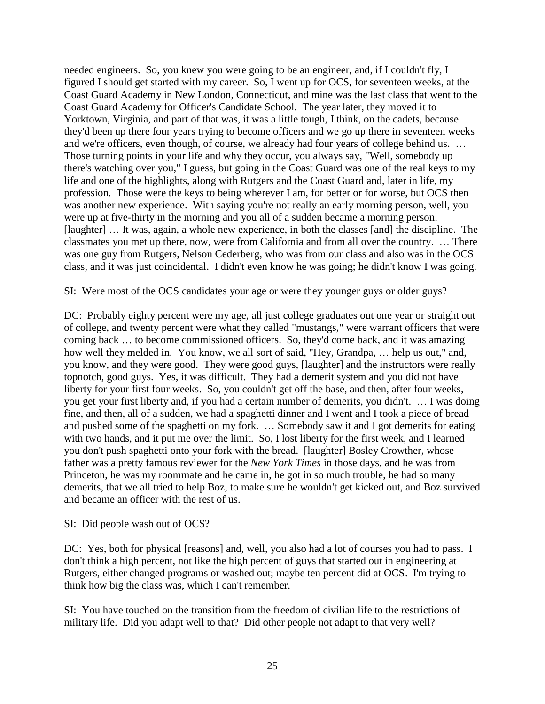needed engineers. So, you knew you were going to be an engineer, and, if I couldn't fly, I figured I should get started with my career. So, I went up for OCS, for seventeen weeks, at the Coast Guard Academy in New London, Connecticut, and mine was the last class that went to the Coast Guard Academy for Officer's Candidate School. The year later, they moved it to Yorktown, Virginia, and part of that was, it was a little tough, I think, on the cadets, because they'd been up there four years trying to become officers and we go up there in seventeen weeks and we're officers, even though, of course, we already had four years of college behind us. … Those turning points in your life and why they occur, you always say, "Well, somebody up there's watching over you," I guess, but going in the Coast Guard was one of the real keys to my life and one of the highlights, along with Rutgers and the Coast Guard and, later in life, my profession. Those were the keys to being wherever I am, for better or for worse, but OCS then was another new experience. With saying you're not really an early morning person, well, you were up at five-thirty in the morning and you all of a sudden became a morning person. [laughter] … It was, again, a whole new experience, in both the classes [and] the discipline. The classmates you met up there, now, were from California and from all over the country. … There was one guy from Rutgers, Nelson Cederberg, who was from our class and also was in the OCS class, and it was just coincidental. I didn't even know he was going; he didn't know I was going.

SI: Were most of the OCS candidates your age or were they younger guys or older guys?

DC: Probably eighty percent were my age, all just college graduates out one year or straight out of college, and twenty percent were what they called "mustangs," were warrant officers that were coming back … to become commissioned officers. So, they'd come back, and it was amazing how well they melded in. You know, we all sort of said, "Hey, Grandpa, … help us out," and, you know, and they were good. They were good guys, [laughter] and the instructors were really topnotch, good guys. Yes, it was difficult. They had a demerit system and you did not have liberty for your first four weeks. So, you couldn't get off the base, and then, after four weeks, you get your first liberty and, if you had a certain number of demerits, you didn't. … I was doing fine, and then, all of a sudden, we had a spaghetti dinner and I went and I took a piece of bread and pushed some of the spaghetti on my fork. … Somebody saw it and I got demerits for eating with two hands, and it put me over the limit. So, I lost liberty for the first week, and I learned you don't push spaghetti onto your fork with the bread. [laughter] Bosley Crowther, whose father was a pretty famous reviewer for the *New York Times* in those days, and he was from Princeton, he was my roommate and he came in, he got in so much trouble, he had so many demerits, that we all tried to help Boz, to make sure he wouldn't get kicked out, and Boz survived and became an officer with the rest of us.

# SI: Did people wash out of OCS?

DC: Yes, both for physical [reasons] and, well, you also had a lot of courses you had to pass. I don't think a high percent, not like the high percent of guys that started out in engineering at Rutgers, either changed programs or washed out; maybe ten percent did at OCS. I'm trying to think how big the class was, which I can't remember.

SI: You have touched on the transition from the freedom of civilian life to the restrictions of military life. Did you adapt well to that? Did other people not adapt to that very well?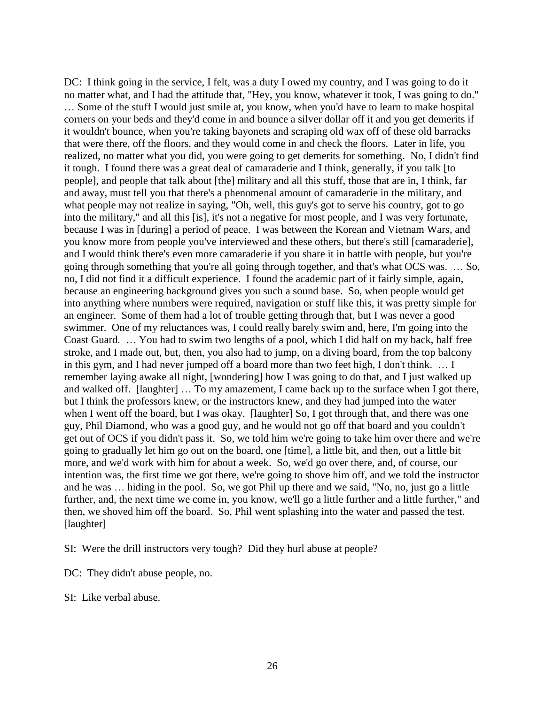DC: I think going in the service, I felt, was a duty I owed my country, and I was going to do it no matter what, and I had the attitude that, "Hey, you know, whatever it took, I was going to do." … Some of the stuff I would just smile at, you know, when you'd have to learn to make hospital corners on your beds and they'd come in and bounce a silver dollar off it and you get demerits if it wouldn't bounce, when you're taking bayonets and scraping old wax off of these old barracks that were there, off the floors, and they would come in and check the floors. Later in life, you realized, no matter what you did, you were going to get demerits for something. No, I didn't find it tough. I found there was a great deal of camaraderie and I think, generally, if you talk [to people], and people that talk about [the] military and all this stuff, those that are in, I think, far and away, must tell you that there's a phenomenal amount of camaraderie in the military, and what people may not realize in saying, "Oh, well, this guy's got to serve his country, got to go into the military," and all this [is], it's not a negative for most people, and I was very fortunate, because I was in [during] a period of peace. I was between the Korean and Vietnam Wars, and you know more from people you've interviewed and these others, but there's still [camaraderie], and I would think there's even more camaraderie if you share it in battle with people, but you're going through something that you're all going through together, and that's what OCS was. … So, no, I did not find it a difficult experience. I found the academic part of it fairly simple, again, because an engineering background gives you such a sound base. So, when people would get into anything where numbers were required, navigation or stuff like this, it was pretty simple for an engineer. Some of them had a lot of trouble getting through that, but I was never a good swimmer. One of my reluctances was, I could really barely swim and, here, I'm going into the Coast Guard. … You had to swim two lengths of a pool, which I did half on my back, half free stroke, and I made out, but, then, you also had to jump, on a diving board, from the top balcony in this gym, and I had never jumped off a board more than two feet high, I don't think. … I remember laying awake all night, [wondering] how I was going to do that, and I just walked up and walked off. [laughter] … To my amazement, I came back up to the surface when I got there, but I think the professors knew, or the instructors knew, and they had jumped into the water when I went off the board, but I was okay. [laughter] So, I got through that, and there was one guy, Phil Diamond, who was a good guy, and he would not go off that board and you couldn't get out of OCS if you didn't pass it. So, we told him we're going to take him over there and we're going to gradually let him go out on the board, one [time], a little bit, and then, out a little bit more, and we'd work with him for about a week. So, we'd go over there, and, of course, our intention was, the first time we got there, we're going to shove him off, and we told the instructor and he was … hiding in the pool. So, we got Phil up there and we said, "No, no, just go a little further, and, the next time we come in, you know, we'll go a little further and a little further," and then, we shoved him off the board. So, Phil went splashing into the water and passed the test. [laughter]

SI: Were the drill instructors very tough? Did they hurl abuse at people?

DC: They didn't abuse people, no.

SI: Like verbal abuse.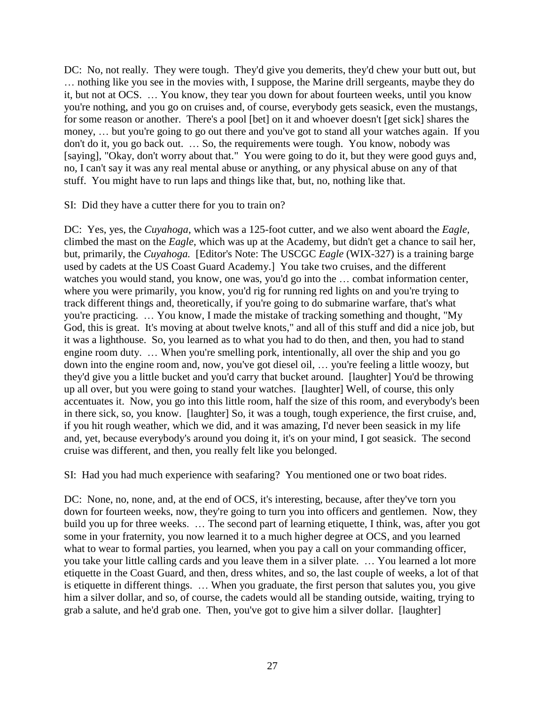DC: No, not really. They were tough. They'd give you demerits, they'd chew your butt out, but … nothing like you see in the movies with, I suppose, the Marine drill sergeants, maybe they do it, but not at OCS. … You know, they tear you down for about fourteen weeks, until you know you're nothing, and you go on cruises and, of course, everybody gets seasick, even the mustangs, for some reason or another. There's a pool [bet] on it and whoever doesn't [get sick] shares the money, ... but you're going to go out there and you've got to stand all your watches again. If you don't do it, you go back out. … So, the requirements were tough. You know, nobody was [saying], "Okay, don't worry about that." You were going to do it, but they were good guys and, no, I can't say it was any real mental abuse or anything, or any physical abuse on any of that stuff. You might have to run laps and things like that, but, no, nothing like that.

SI: Did they have a cutter there for you to train on?

DC: Yes, yes, the *Cuyahoga*, which was a 125-foot cutter, and we also went aboard the *Eagle,* climbed the mast on the *Eagle*, which was up at the Academy, but didn't get a chance to sail her, but, primarily, the *Cuyahoga.* [Editor's Note: The USCGC *Eagle* (WIX-327) is a training barge used by cadets at the US Coast Guard Academy.] You take two cruises, and the different watches you would stand, you know, one was, you'd go into the … combat information center, where you were primarily, you know, you'd rig for running red lights on and you're trying to track different things and, theoretically, if you're going to do submarine warfare, that's what you're practicing. … You know, I made the mistake of tracking something and thought, "My God, this is great. It's moving at about twelve knots," and all of this stuff and did a nice job, but it was a lighthouse. So, you learned as to what you had to do then, and then, you had to stand engine room duty. ... When you're smelling pork, intentionally, all over the ship and you go down into the engine room and, now, you've got diesel oil, … you're feeling a little woozy, but they'd give you a little bucket and you'd carry that bucket around. [laughter] You'd be throwing up all over, but you were going to stand your watches. [laughter] Well, of course, this only accentuates it. Now, you go into this little room, half the size of this room, and everybody's been in there sick, so, you know. [laughter] So, it was a tough, tough experience, the first cruise, and, if you hit rough weather, which we did, and it was amazing, I'd never been seasick in my life and, yet, because everybody's around you doing it, it's on your mind, I got seasick. The second cruise was different, and then, you really felt like you belonged.

SI: Had you had much experience with seafaring? You mentioned one or two boat rides.

DC: None, no, none, and, at the end of OCS, it's interesting, because, after they've torn you down for fourteen weeks, now, they're going to turn you into officers and gentlemen. Now, they build you up for three weeks. … The second part of learning etiquette, I think, was, after you got some in your fraternity, you now learned it to a much higher degree at OCS, and you learned what to wear to formal parties, you learned, when you pay a call on your commanding officer, you take your little calling cards and you leave them in a silver plate. … You learned a lot more etiquette in the Coast Guard, and then, dress whites, and so, the last couple of weeks, a lot of that is etiquette in different things. … When you graduate, the first person that salutes you, you give him a silver dollar, and so, of course, the cadets would all be standing outside, waiting, trying to grab a salute, and he'd grab one. Then, you've got to give him a silver dollar. [laughter]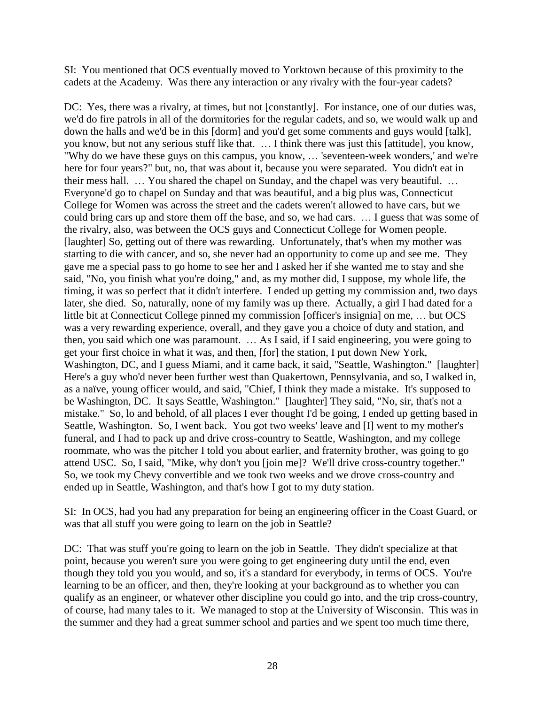SI: You mentioned that OCS eventually moved to Yorktown because of this proximity to the cadets at the Academy. Was there any interaction or any rivalry with the four-year cadets?

DC: Yes, there was a rivalry, at times, but not [constantly]. For instance, one of our duties was, we'd do fire patrols in all of the dormitories for the regular cadets, and so, we would walk up and down the halls and we'd be in this [dorm] and you'd get some comments and guys would [talk], you know, but not any serious stuff like that. … I think there was just this [attitude], you know, "Why do we have these guys on this campus, you know, … 'seventeen-week wonders,' and we're here for four years?" but, no, that was about it, because you were separated. You didn't eat in their mess hall. … You shared the chapel on Sunday, and the chapel was very beautiful. … Everyone'd go to chapel on Sunday and that was beautiful, and a big plus was, Connecticut College for Women was across the street and the cadets weren't allowed to have cars, but we could bring cars up and store them off the base, and so, we had cars. … I guess that was some of the rivalry, also, was between the OCS guys and Connecticut College for Women people. [laughter] So, getting out of there was rewarding. Unfortunately, that's when my mother was starting to die with cancer, and so, she never had an opportunity to come up and see me. They gave me a special pass to go home to see her and I asked her if she wanted me to stay and she said, "No, you finish what you're doing," and, as my mother did, I suppose, my whole life, the timing, it was so perfect that it didn't interfere. I ended up getting my commission and, two days later, she died. So, naturally, none of my family was up there. Actually, a girl I had dated for a little bit at Connecticut College pinned my commission [officer's insignia] on me, … but OCS was a very rewarding experience, overall, and they gave you a choice of duty and station, and then, you said which one was paramount. … As I said, if I said engineering, you were going to get your first choice in what it was, and then, [for] the station, I put down New York, Washington, DC, and I guess Miami, and it came back, it said, "Seattle, Washington." [laughter] Here's a guy who'd never been further west than Quakertown, Pennsylvania, and so, I walked in, as a naïve, young officer would, and said, "Chief, I think they made a mistake. It's supposed to be Washington, DC. It says Seattle, Washington." [laughter] They said, "No, sir, that's not a mistake." So, lo and behold, of all places I ever thought I'd be going, I ended up getting based in Seattle, Washington. So, I went back. You got two weeks' leave and [I] went to my mother's funeral, and I had to pack up and drive cross-country to Seattle, Washington, and my college roommate, who was the pitcher I told you about earlier, and fraternity brother, was going to go attend USC. So, I said, "Mike, why don't you [join me]? We'll drive cross-country together." So, we took my Chevy convertible and we took two weeks and we drove cross-country and ended up in Seattle, Washington, and that's how I got to my duty station.

SI: In OCS, had you had any preparation for being an engineering officer in the Coast Guard, or was that all stuff you were going to learn on the job in Seattle?

DC: That was stuff you're going to learn on the job in Seattle. They didn't specialize at that point, because you weren't sure you were going to get engineering duty until the end, even though they told you you would, and so, it's a standard for everybody, in terms of OCS. You're learning to be an officer, and then, they're looking at your background as to whether you can qualify as an engineer, or whatever other discipline you could go into, and the trip cross-country, of course, had many tales to it. We managed to stop at the University of Wisconsin. This was in the summer and they had a great summer school and parties and we spent too much time there,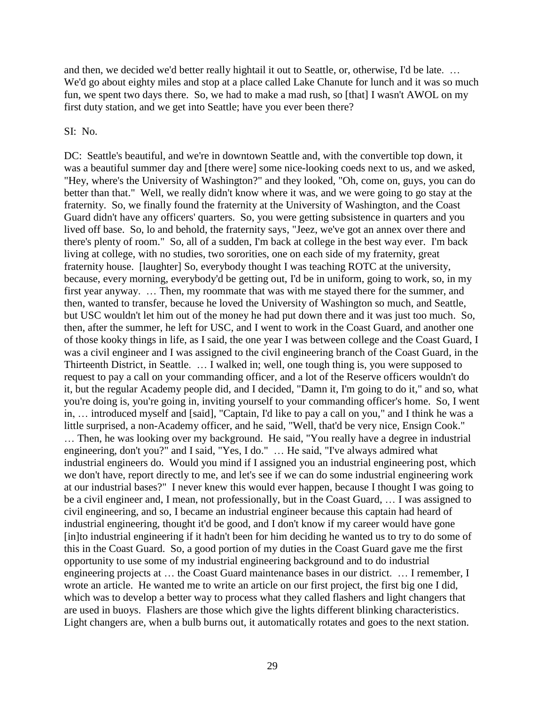and then, we decided we'd better really hightail it out to Seattle, or, otherwise, I'd be late. … We'd go about eighty miles and stop at a place called Lake Chanute for lunch and it was so much fun, we spent two days there. So, we had to make a mad rush, so [that] I wasn't AWOL on my first duty station, and we get into Seattle; have you ever been there?

SI: No.

DC: Seattle's beautiful, and we're in downtown Seattle and, with the convertible top down, it was a beautiful summer day and [there were] some nice-looking coeds next to us, and we asked, "Hey, where's the University of Washington?" and they looked, "Oh, come on, guys, you can do better than that." Well, we really didn't know where it was, and we were going to go stay at the fraternity. So, we finally found the fraternity at the University of Washington, and the Coast Guard didn't have any officers' quarters. So, you were getting subsistence in quarters and you lived off base. So, lo and behold, the fraternity says, "Jeez, we've got an annex over there and there's plenty of room." So, all of a sudden, I'm back at college in the best way ever. I'm back living at college, with no studies, two sororities, one on each side of my fraternity, great fraternity house. [laughter] So, everybody thought I was teaching ROTC at the university, because, every morning, everybody'd be getting out, I'd be in uniform, going to work, so, in my first year anyway. … Then, my roommate that was with me stayed there for the summer, and then, wanted to transfer, because he loved the University of Washington so much, and Seattle, but USC wouldn't let him out of the money he had put down there and it was just too much. So, then, after the summer, he left for USC, and I went to work in the Coast Guard, and another one of those kooky things in life, as I said, the one year I was between college and the Coast Guard, I was a civil engineer and I was assigned to the civil engineering branch of the Coast Guard, in the Thirteenth District, in Seattle. … I walked in; well, one tough thing is, you were supposed to request to pay a call on your commanding officer, and a lot of the Reserve officers wouldn't do it, but the regular Academy people did, and I decided, "Damn it, I'm going to do it," and so, what you're doing is, you're going in, inviting yourself to your commanding officer's home. So, I went in, … introduced myself and [said], "Captain, I'd like to pay a call on you," and I think he was a little surprised, a non-Academy officer, and he said, "Well, that'd be very nice, Ensign Cook." … Then, he was looking over my background. He said, "You really have a degree in industrial engineering, don't you?" and I said, "Yes, I do." … He said, "I've always admired what industrial engineers do. Would you mind if I assigned you an industrial engineering post, which we don't have, report directly to me, and let's see if we can do some industrial engineering work at our industrial bases?" I never knew this would ever happen, because I thought I was going to be a civil engineer and, I mean, not professionally, but in the Coast Guard, … I was assigned to civil engineering, and so, I became an industrial engineer because this captain had heard of industrial engineering, thought it'd be good, and I don't know if my career would have gone [in]to industrial engineering if it hadn't been for him deciding he wanted us to try to do some of this in the Coast Guard. So, a good portion of my duties in the Coast Guard gave me the first opportunity to use some of my industrial engineering background and to do industrial engineering projects at … the Coast Guard maintenance bases in our district. … I remember, I wrote an article. He wanted me to write an article on our first project, the first big one I did, which was to develop a better way to process what they called flashers and light changers that are used in buoys. Flashers are those which give the lights different blinking characteristics. Light changers are, when a bulb burns out, it automatically rotates and goes to the next station.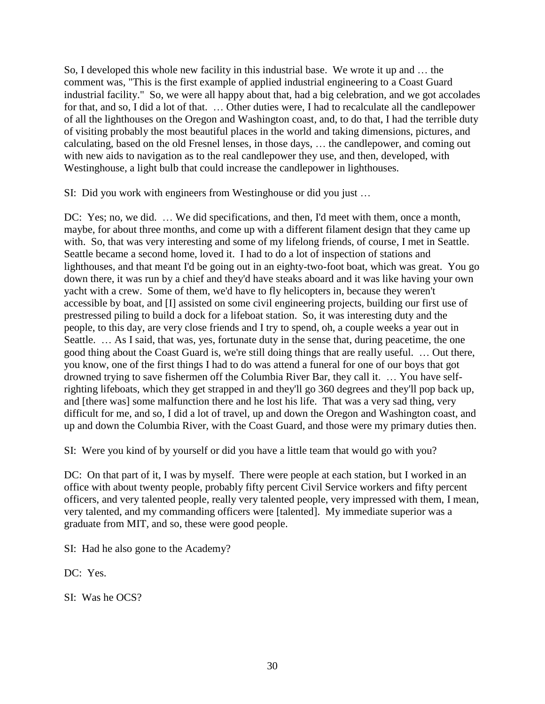So, I developed this whole new facility in this industrial base. We wrote it up and … the comment was, "This is the first example of applied industrial engineering to a Coast Guard industrial facility." So, we were all happy about that, had a big celebration, and we got accolades for that, and so, I did a lot of that. … Other duties were, I had to recalculate all the candlepower of all the lighthouses on the Oregon and Washington coast, and, to do that, I had the terrible duty of visiting probably the most beautiful places in the world and taking dimensions, pictures, and calculating, based on the old Fresnel lenses, in those days, … the candlepower, and coming out with new aids to navigation as to the real candlepower they use, and then, developed, with Westinghouse, a light bulb that could increase the candlepower in lighthouses.

SI: Did you work with engineers from Westinghouse or did you just …

DC: Yes; no, we did. … We did specifications, and then, I'd meet with them, once a month, maybe, for about three months, and come up with a different filament design that they came up with. So, that was very interesting and some of my lifelong friends, of course, I met in Seattle. Seattle became a second home, loved it. I had to do a lot of inspection of stations and lighthouses, and that meant I'd be going out in an eighty-two-foot boat, which was great. You go down there, it was run by a chief and they'd have steaks aboard and it was like having your own yacht with a crew. Some of them, we'd have to fly helicopters in, because they weren't accessible by boat, and [I] assisted on some civil engineering projects, building our first use of prestressed piling to build a dock for a lifeboat station. So, it was interesting duty and the people, to this day, are very close friends and I try to spend, oh, a couple weeks a year out in Seattle. ... As I said, that was, yes, fortunate duty in the sense that, during peacetime, the one good thing about the Coast Guard is, we're still doing things that are really useful. … Out there, you know, one of the first things I had to do was attend a funeral for one of our boys that got drowned trying to save fishermen off the Columbia River Bar, they call it. … You have selfrighting lifeboats, which they get strapped in and they'll go 360 degrees and they'll pop back up, and [there was] some malfunction there and he lost his life. That was a very sad thing, very difficult for me, and so, I did a lot of travel, up and down the Oregon and Washington coast, and up and down the Columbia River, with the Coast Guard, and those were my primary duties then.

SI: Were you kind of by yourself or did you have a little team that would go with you?

DC: On that part of it, I was by myself. There were people at each station, but I worked in an office with about twenty people, probably fifty percent Civil Service workers and fifty percent officers, and very talented people, really very talented people, very impressed with them, I mean, very talented, and my commanding officers were [talented]. My immediate superior was a graduate from MIT, and so, these were good people.

SI: Had he also gone to the Academy?

DC: Yes.

SI: Was he OCS?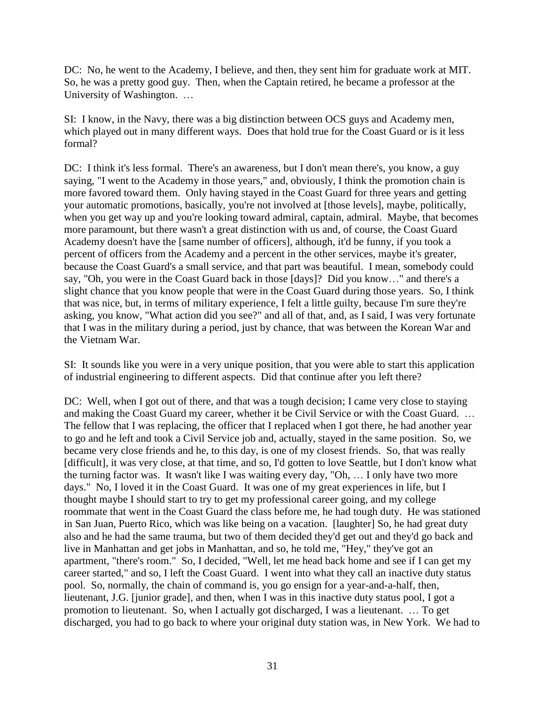DC: No, he went to the Academy, I believe, and then, they sent him for graduate work at MIT. So, he was a pretty good guy. Then, when the Captain retired, he became a professor at the University of Washington. …

SI: I know, in the Navy, there was a big distinction between OCS guys and Academy men, which played out in many different ways. Does that hold true for the Coast Guard or is it less formal?

DC: I think it's less formal. There's an awareness, but I don't mean there's, you know, a guy saying, "I went to the Academy in those years," and, obviously, I think the promotion chain is more favored toward them. Only having stayed in the Coast Guard for three years and getting your automatic promotions, basically, you're not involved at [those levels], maybe, politically, when you get way up and you're looking toward admiral, captain, admiral. Maybe, that becomes more paramount, but there wasn't a great distinction with us and, of course, the Coast Guard Academy doesn't have the [same number of officers], although, it'd be funny, if you took a percent of officers from the Academy and a percent in the other services, maybe it's greater, because the Coast Guard's a small service, and that part was beautiful. I mean, somebody could say, "Oh, you were in the Coast Guard back in those [days]? Did you know…" and there's a slight chance that you know people that were in the Coast Guard during those years. So, I think that was nice, but, in terms of military experience, I felt a little guilty, because I'm sure they're asking, you know, "What action did you see?" and all of that, and, as I said, I was very fortunate that I was in the military during a period, just by chance, that was between the Korean War and the Vietnam War.

SI: It sounds like you were in a very unique position, that you were able to start this application of industrial engineering to different aspects. Did that continue after you left there?

DC: Well, when I got out of there, and that was a tough decision; I came very close to staying and making the Coast Guard my career, whether it be Civil Service or with the Coast Guard. … The fellow that I was replacing, the officer that I replaced when I got there, he had another year to go and he left and took a Civil Service job and, actually, stayed in the same position. So, we became very close friends and he, to this day, is one of my closest friends. So, that was really [difficult], it was very close, at that time, and so, I'd gotten to love Seattle, but I don't know what the turning factor was. It wasn't like I was waiting every day, "Oh, … I only have two more days." No, I loved it in the Coast Guard. It was one of my great experiences in life, but I thought maybe I should start to try to get my professional career going, and my college roommate that went in the Coast Guard the class before me, he had tough duty. He was stationed in San Juan, Puerto Rico, which was like being on a vacation. [laughter] So, he had great duty also and he had the same trauma, but two of them decided they'd get out and they'd go back and live in Manhattan and get jobs in Manhattan, and so, he told me, "Hey," they've got an apartment, "there's room." So, I decided, "Well, let me head back home and see if I can get my career started," and so, I left the Coast Guard. I went into what they call an inactive duty status pool. So, normally, the chain of command is, you go ensign for a year-and-a-half, then, lieutenant, J.G. [junior grade], and then, when I was in this inactive duty status pool, I got a promotion to lieutenant. So, when I actually got discharged, I was a lieutenant. … To get discharged, you had to go back to where your original duty station was, in New York. We had to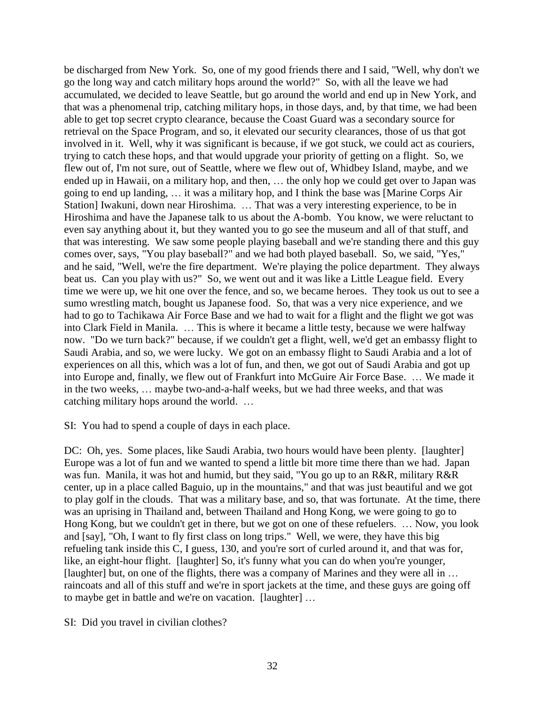be discharged from New York. So, one of my good friends there and I said, "Well, why don't we go the long way and catch military hops around the world?" So, with all the leave we had accumulated, we decided to leave Seattle, but go around the world and end up in New York, and that was a phenomenal trip, catching military hops, in those days, and, by that time, we had been able to get top secret crypto clearance, because the Coast Guard was a secondary source for retrieval on the Space Program, and so, it elevated our security clearances, those of us that got involved in it. Well, why it was significant is because, if we got stuck, we could act as couriers, trying to catch these hops, and that would upgrade your priority of getting on a flight. So, we flew out of, I'm not sure, out of Seattle, where we flew out of, Whidbey Island, maybe, and we ended up in Hawaii, on a military hop, and then, … the only hop we could get over to Japan was going to end up landing, … it was a military hop, and I think the base was [Marine Corps Air Station] Iwakuni, down near Hiroshima. … That was a very interesting experience, to be in Hiroshima and have the Japanese talk to us about the A-bomb. You know, we were reluctant to even say anything about it, but they wanted you to go see the museum and all of that stuff, and that was interesting. We saw some people playing baseball and we're standing there and this guy comes over, says, "You play baseball?" and we had both played baseball. So, we said, "Yes," and he said, "Well, we're the fire department. We're playing the police department. They always beat us. Can you play with us?" So, we went out and it was like a Little League field. Every time we were up, we hit one over the fence, and so, we became heroes. They took us out to see a sumo wrestling match, bought us Japanese food. So, that was a very nice experience, and we had to go to Tachikawa Air Force Base and we had to wait for a flight and the flight we got was into Clark Field in Manila. … This is where it became a little testy, because we were halfway now. "Do we turn back?" because, if we couldn't get a flight, well, we'd get an embassy flight to Saudi Arabia, and so, we were lucky. We got on an embassy flight to Saudi Arabia and a lot of experiences on all this, which was a lot of fun, and then, we got out of Saudi Arabia and got up into Europe and, finally, we flew out of Frankfurt into McGuire Air Force Base. … We made it in the two weeks, … maybe two-and-a-half weeks, but we had three weeks, and that was catching military hops around the world. …

SI: You had to spend a couple of days in each place.

DC: Oh, yes. Some places, like Saudi Arabia, two hours would have been plenty. [laughter] Europe was a lot of fun and we wanted to spend a little bit more time there than we had. Japan was fun. Manila, it was hot and humid, but they said, "You go up to an R&R, military R&R center, up in a place called Baguio, up in the mountains," and that was just beautiful and we got to play golf in the clouds. That was a military base, and so, that was fortunate. At the time, there was an uprising in Thailand and, between Thailand and Hong Kong, we were going to go to Hong Kong, but we couldn't get in there, but we got on one of these refuelers. … Now, you look and [say], "Oh, I want to fly first class on long trips." Well, we were, they have this big refueling tank inside this C, I guess, 130, and you're sort of curled around it, and that was for, like, an eight-hour flight. [laughter] So, it's funny what you can do when you're younger, [laughter] but, on one of the flights, there was a company of Marines and they were all in … raincoats and all of this stuff and we're in sport jackets at the time, and these guys are going off to maybe get in battle and we're on vacation. [laughter] …

SI: Did you travel in civilian clothes?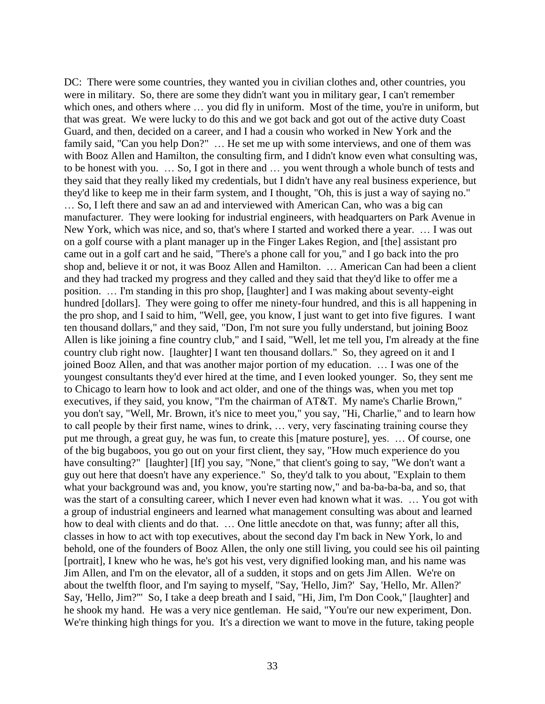DC: There were some countries, they wanted you in civilian clothes and, other countries, you were in military. So, there are some they didn't want you in military gear, I can't remember which ones, and others where ... you did fly in uniform. Most of the time, you're in uniform, but that was great. We were lucky to do this and we got back and got out of the active duty Coast Guard, and then, decided on a career, and I had a cousin who worked in New York and the family said, "Can you help Don?" ... He set me up with some interviews, and one of them was with Booz Allen and Hamilton, the consulting firm, and I didn't know even what consulting was, to be honest with you. … So, I got in there and … you went through a whole bunch of tests and they said that they really liked my credentials, but I didn't have any real business experience, but they'd like to keep me in their farm system, and I thought, "Oh, this is just a way of saying no." … So, I left there and saw an ad and interviewed with American Can, who was a big can manufacturer. They were looking for industrial engineers, with headquarters on Park Avenue in New York, which was nice, and so, that's where I started and worked there a year. … I was out on a golf course with a plant manager up in the Finger Lakes Region, and [the] assistant pro came out in a golf cart and he said, "There's a phone call for you," and I go back into the pro shop and, believe it or not, it was Booz Allen and Hamilton. … American Can had been a client and they had tracked my progress and they called and they said that they'd like to offer me a position. … I'm standing in this pro shop, [laughter] and I was making about seventy-eight hundred [dollars]. They were going to offer me ninety-four hundred, and this is all happening in the pro shop, and I said to him, "Well, gee, you know, I just want to get into five figures. I want ten thousand dollars," and they said, "Don, I'm not sure you fully understand, but joining Booz Allen is like joining a fine country club," and I said, "Well, let me tell you, I'm already at the fine country club right now. [laughter] I want ten thousand dollars." So, they agreed on it and I joined Booz Allen, and that was another major portion of my education. … I was one of the youngest consultants they'd ever hired at the time, and I even looked younger. So, they sent me to Chicago to learn how to look and act older, and one of the things was, when you met top executives, if they said, you know, "I'm the chairman of AT&T. My name's Charlie Brown," you don't say, "Well, Mr. Brown, it's nice to meet you," you say, "Hi, Charlie," and to learn how to call people by their first name, wines to drink, … very, very fascinating training course they put me through, a great guy, he was fun, to create this [mature posture], yes. … Of course, one of the big bugaboos, you go out on your first client, they say, "How much experience do you have consulting?" [laughter] [If] you say, "None," that client's going to say, "We don't want a guy out here that doesn't have any experience." So, they'd talk to you about, "Explain to them what your background was and, you know, you're starting now," and ba-ba-ba-ba, and so, that was the start of a consulting career, which I never even had known what it was. … You got with a group of industrial engineers and learned what management consulting was about and learned how to deal with clients and do that. ... One little anecdote on that, was funny; after all this, classes in how to act with top executives, about the second day I'm back in New York, lo and behold, one of the founders of Booz Allen, the only one still living, you could see his oil painting [portrait], I knew who he was, he's got his vest, very dignified looking man, and his name was Jim Allen, and I'm on the elevator, all of a sudden, it stops and on gets Jim Allen. We're on about the twelfth floor, and I'm saying to myself, "Say, 'Hello, Jim?' Say, 'Hello, Mr. Allen?' Say, 'Hello, Jim?'" So, I take a deep breath and I said, "Hi, Jim, I'm Don Cook," [laughter] and he shook my hand. He was a very nice gentleman. He said, "You're our new experiment, Don. We're thinking high things for you. It's a direction we want to move in the future, taking people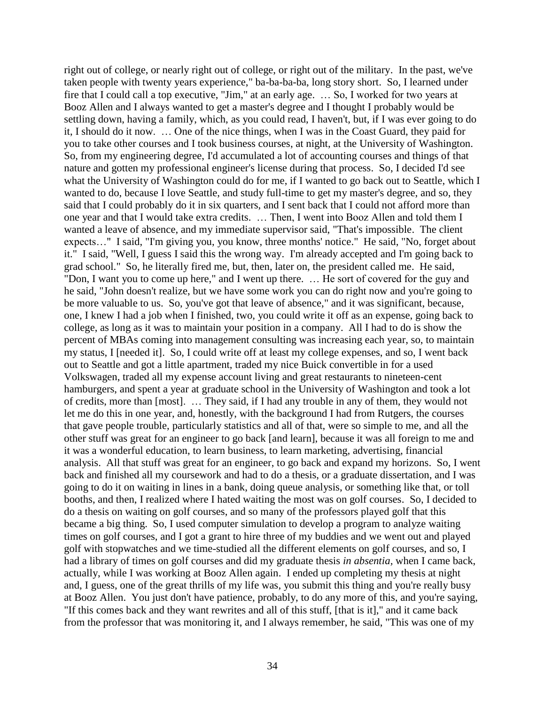right out of college, or nearly right out of college, or right out of the military. In the past, we've taken people with twenty years experience," ba-ba-ba-ba, long story short. So, I learned under fire that I could call a top executive, "Jim," at an early age. … So, I worked for two years at Booz Allen and I always wanted to get a master's degree and I thought I probably would be settling down, having a family, which, as you could read, I haven't, but, if I was ever going to do it, I should do it now. … One of the nice things, when I was in the Coast Guard, they paid for you to take other courses and I took business courses, at night, at the University of Washington. So, from my engineering degree, I'd accumulated a lot of accounting courses and things of that nature and gotten my professional engineer's license during that process. So, I decided I'd see what the University of Washington could do for me, if I wanted to go back out to Seattle, which I wanted to do, because I love Seattle, and study full-time to get my master's degree, and so, they said that I could probably do it in six quarters, and I sent back that I could not afford more than one year and that I would take extra credits. … Then, I went into Booz Allen and told them I wanted a leave of absence, and my immediate supervisor said, "That's impossible. The client expects…" I said, "I'm giving you, you know, three months' notice." He said, "No, forget about it." I said, "Well, I guess I said this the wrong way. I'm already accepted and I'm going back to grad school." So, he literally fired me, but, then, later on, the president called me. He said, "Don, I want you to come up here," and I went up there. … He sort of covered for the guy and he said, "John doesn't realize, but we have some work you can do right now and you're going to be more valuable to us. So, you've got that leave of absence," and it was significant, because, one, I knew I had a job when I finished, two, you could write it off as an expense, going back to college, as long as it was to maintain your position in a company. All I had to do is show the percent of MBAs coming into management consulting was increasing each year, so, to maintain my status, I [needed it]. So, I could write off at least my college expenses, and so, I went back out to Seattle and got a little apartment, traded my nice Buick convertible in for a used Volkswagen, traded all my expense account living and great restaurants to nineteen-cent hamburgers, and spent a year at graduate school in the University of Washington and took a lot of credits, more than [most]. … They said, if I had any trouble in any of them, they would not let me do this in one year, and, honestly, with the background I had from Rutgers, the courses that gave people trouble, particularly statistics and all of that, were so simple to me, and all the other stuff was great for an engineer to go back [and learn], because it was all foreign to me and it was a wonderful education, to learn business, to learn marketing, advertising, financial analysis. All that stuff was great for an engineer, to go back and expand my horizons. So, I went back and finished all my coursework and had to do a thesis, or a graduate dissertation, and I was going to do it on waiting in lines in a bank, doing queue analysis, or something like that, or toll booths, and then, I realized where I hated waiting the most was on golf courses. So, I decided to do a thesis on waiting on golf courses, and so many of the professors played golf that this became a big thing. So, I used computer simulation to develop a program to analyze waiting times on golf courses, and I got a grant to hire three of my buddies and we went out and played golf with stopwatches and we time-studied all the different elements on golf courses, and so, I had a library of times on golf courses and did my graduate thesis *in absentia,* when I came back, actually, while I was working at Booz Allen again. I ended up completing my thesis at night and, I guess, one of the great thrills of my life was, you submit this thing and you're really busy at Booz Allen. You just don't have patience, probably, to do any more of this, and you're saying, "If this comes back and they want rewrites and all of this stuff, [that is it]," and it came back from the professor that was monitoring it, and I always remember, he said, "This was one of my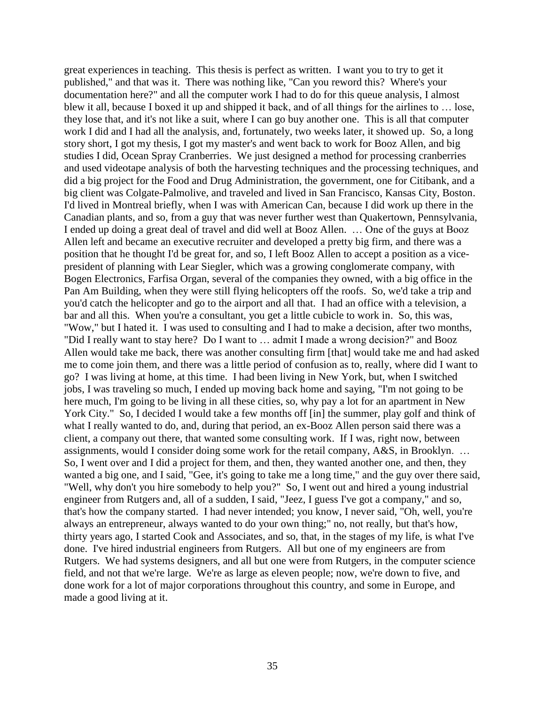great experiences in teaching. This thesis is perfect as written. I want you to try to get it published," and that was it. There was nothing like, "Can you reword this? Where's your documentation here?" and all the computer work I had to do for this queue analysis, I almost blew it all, because I boxed it up and shipped it back, and of all things for the airlines to … lose, they lose that, and it's not like a suit, where I can go buy another one. This is all that computer work I did and I had all the analysis, and, fortunately, two weeks later, it showed up. So, a long story short, I got my thesis, I got my master's and went back to work for Booz Allen, and big studies I did, Ocean Spray Cranberries. We just designed a method for processing cranberries and used videotape analysis of both the harvesting techniques and the processing techniques, and did a big project for the Food and Drug Administration, the government, one for Citibank, and a big client was Colgate-Palmolive, and traveled and lived in San Francisco, Kansas City, Boston. I'd lived in Montreal briefly, when I was with American Can, because I did work up there in the Canadian plants, and so, from a guy that was never further west than Quakertown, Pennsylvania, I ended up doing a great deal of travel and did well at Booz Allen. … One of the guys at Booz Allen left and became an executive recruiter and developed a pretty big firm, and there was a position that he thought I'd be great for, and so, I left Booz Allen to accept a position as a vicepresident of planning with Lear Siegler, which was a growing conglomerate company, with Bogen Electronics, Farfisa Organ, several of the companies they owned, with a big office in the Pan Am Building, when they were still flying helicopters off the roofs. So, we'd take a trip and you'd catch the helicopter and go to the airport and all that. I had an office with a television, a bar and all this. When you're a consultant, you get a little cubicle to work in. So, this was, "Wow," but I hated it. I was used to consulting and I had to make a decision, after two months, "Did I really want to stay here? Do I want to … admit I made a wrong decision?" and Booz Allen would take me back, there was another consulting firm [that] would take me and had asked me to come join them, and there was a little period of confusion as to, really, where did I want to go? I was living at home, at this time. I had been living in New York, but, when I switched jobs, I was traveling so much, I ended up moving back home and saying, "I'm not going to be here much, I'm going to be living in all these cities, so, why pay a lot for an apartment in New York City." So, I decided I would take a few months off [in] the summer, play golf and think of what I really wanted to do, and, during that period, an ex-Booz Allen person said there was a client, a company out there, that wanted some consulting work. If I was, right now, between assignments, would I consider doing some work for the retail company, A&S, in Brooklyn. … So, I went over and I did a project for them, and then, they wanted another one, and then, they wanted a big one, and I said, "Gee, it's going to take me a long time," and the guy over there said, "Well, why don't you hire somebody to help you?" So, I went out and hired a young industrial engineer from Rutgers and, all of a sudden, I said, "Jeez, I guess I've got a company," and so, that's how the company started. I had never intended; you know, I never said, "Oh, well, you're always an entrepreneur, always wanted to do your own thing;" no, not really, but that's how, thirty years ago, I started Cook and Associates, and so, that, in the stages of my life, is what I've done. I've hired industrial engineers from Rutgers. All but one of my engineers are from Rutgers. We had systems designers, and all but one were from Rutgers, in the computer science field, and not that we're large. We're as large as eleven people; now, we're down to five, and done work for a lot of major corporations throughout this country, and some in Europe, and made a good living at it.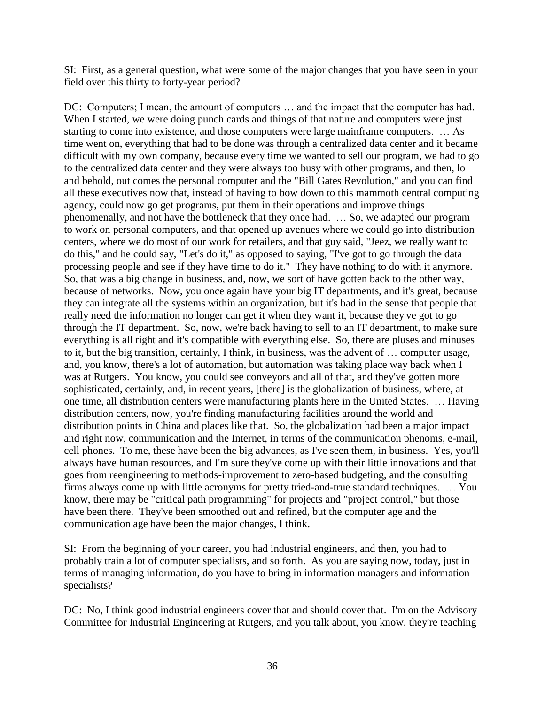SI: First, as a general question, what were some of the major changes that you have seen in your field over this thirty to forty-year period?

DC: Computers; I mean, the amount of computers … and the impact that the computer has had. When I started, we were doing punch cards and things of that nature and computers were just starting to come into existence, and those computers were large mainframe computers. … As time went on, everything that had to be done was through a centralized data center and it became difficult with my own company, because every time we wanted to sell our program, we had to go to the centralized data center and they were always too busy with other programs, and then, lo and behold, out comes the personal computer and the "Bill Gates Revolution," and you can find all these executives now that, instead of having to bow down to this mammoth central computing agency, could now go get programs, put them in their operations and improve things phenomenally, and not have the bottleneck that they once had. … So, we adapted our program to work on personal computers, and that opened up avenues where we could go into distribution centers, where we do most of our work for retailers, and that guy said, "Jeez, we really want to do this," and he could say, "Let's do it," as opposed to saying, "I've got to go through the data processing people and see if they have time to do it." They have nothing to do with it anymore. So, that was a big change in business, and, now, we sort of have gotten back to the other way, because of networks. Now, you once again have your big IT departments, and it's great, because they can integrate all the systems within an organization, but it's bad in the sense that people that really need the information no longer can get it when they want it, because they've got to go through the IT department. So, now, we're back having to sell to an IT department, to make sure everything is all right and it's compatible with everything else. So, there are pluses and minuses to it, but the big transition, certainly, I think, in business, was the advent of … computer usage, and, you know, there's a lot of automation, but automation was taking place way back when I was at Rutgers. You know, you could see conveyors and all of that, and they've gotten more sophisticated, certainly, and, in recent years, [there] is the globalization of business, where, at one time, all distribution centers were manufacturing plants here in the United States. … Having distribution centers, now, you're finding manufacturing facilities around the world and distribution points in China and places like that. So, the globalization had been a major impact and right now, communication and the Internet, in terms of the communication phenoms, e-mail, cell phones. To me, these have been the big advances, as I've seen them, in business. Yes, you'll always have human resources, and I'm sure they've come up with their little innovations and that goes from reengineering to methods-improvement to zero-based budgeting, and the consulting firms always come up with little acronyms for pretty tried-and-true standard techniques. … You know, there may be "critical path programming" for projects and "project control," but those have been there. They've been smoothed out and refined, but the computer age and the communication age have been the major changes, I think.

SI: From the beginning of your career, you had industrial engineers, and then, you had to probably train a lot of computer specialists, and so forth. As you are saying now, today, just in terms of managing information, do you have to bring in information managers and information specialists?

DC: No, I think good industrial engineers cover that and should cover that. I'm on the Advisory Committee for Industrial Engineering at Rutgers, and you talk about, you know, they're teaching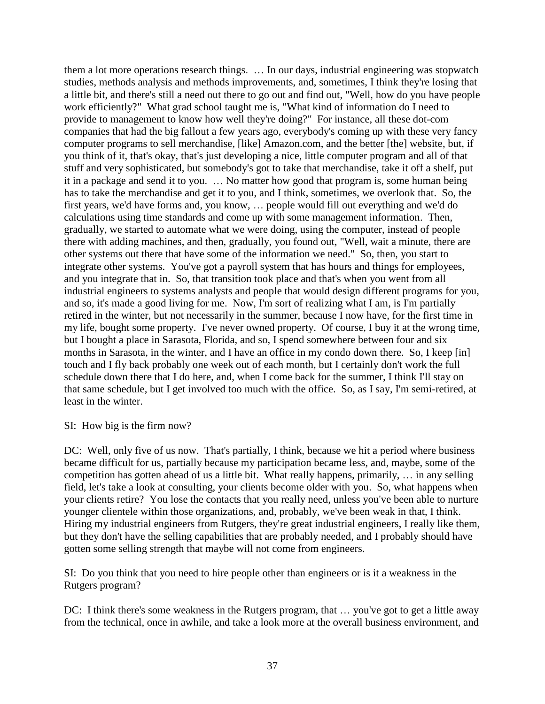them a lot more operations research things. … In our days, industrial engineering was stopwatch studies, methods analysis and methods improvements, and, sometimes, I think they're losing that a little bit, and there's still a need out there to go out and find out, "Well, how do you have people work efficiently?" What grad school taught me is, "What kind of information do I need to provide to management to know how well they're doing?" For instance, all these dot-com companies that had the big fallout a few years ago, everybody's coming up with these very fancy computer programs to sell merchandise, [like] Amazon.com, and the better [the] website, but, if you think of it, that's okay, that's just developing a nice, little computer program and all of that stuff and very sophisticated, but somebody's got to take that merchandise, take it off a shelf, put it in a package and send it to you. … No matter how good that program is, some human being has to take the merchandise and get it to you, and I think, sometimes, we overlook that. So, the first years, we'd have forms and, you know, … people would fill out everything and we'd do calculations using time standards and come up with some management information. Then, gradually, we started to automate what we were doing, using the computer, instead of people there with adding machines, and then, gradually, you found out, "Well, wait a minute, there are other systems out there that have some of the information we need." So, then, you start to integrate other systems. You've got a payroll system that has hours and things for employees, and you integrate that in. So, that transition took place and that's when you went from all industrial engineers to systems analysts and people that would design different programs for you, and so, it's made a good living for me. Now, I'm sort of realizing what I am, is I'm partially retired in the winter, but not necessarily in the summer, because I now have, for the first time in my life, bought some property. I've never owned property. Of course, I buy it at the wrong time, but I bought a place in Sarasota, Florida, and so, I spend somewhere between four and six months in Sarasota, in the winter, and I have an office in my condo down there. So, I keep [in] touch and I fly back probably one week out of each month, but I certainly don't work the full schedule down there that I do here, and, when I come back for the summer, I think I'll stay on that same schedule, but I get involved too much with the office. So, as I say, I'm semi-retired, at least in the winter.

### SI: How big is the firm now?

DC: Well, only five of us now. That's partially, I think, because we hit a period where business became difficult for us, partially because my participation became less, and, maybe, some of the competition has gotten ahead of us a little bit. What really happens, primarily, … in any selling field, let's take a look at consulting, your clients become older with you. So, what happens when your clients retire? You lose the contacts that you really need, unless you've been able to nurture younger clientele within those organizations, and, probably, we've been weak in that, I think. Hiring my industrial engineers from Rutgers, they're great industrial engineers, I really like them, but they don't have the selling capabilities that are probably needed, and I probably should have gotten some selling strength that maybe will not come from engineers.

SI: Do you think that you need to hire people other than engineers or is it a weakness in the Rutgers program?

DC: I think there's some weakness in the Rutgers program, that ... you've got to get a little away from the technical, once in awhile, and take a look more at the overall business environment, and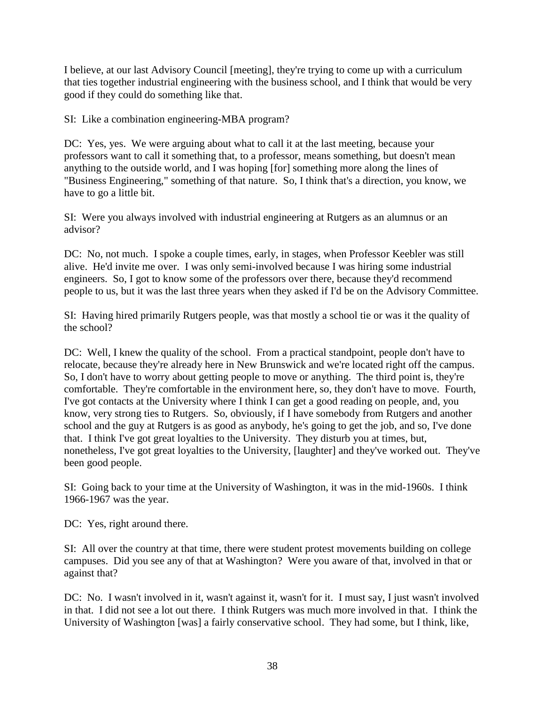I believe, at our last Advisory Council [meeting], they're trying to come up with a curriculum that ties together industrial engineering with the business school, and I think that would be very good if they could do something like that.

SI: Like a combination engineering-MBA program?

DC: Yes, yes. We were arguing about what to call it at the last meeting, because your professors want to call it something that, to a professor, means something, but doesn't mean anything to the outside world, and I was hoping [for] something more along the lines of "Business Engineering," something of that nature. So, I think that's a direction, you know, we have to go a little bit.

SI: Were you always involved with industrial engineering at Rutgers as an alumnus or an advisor?

DC: No, not much. I spoke a couple times, early, in stages, when Professor Keebler was still alive. He'd invite me over. I was only semi-involved because I was hiring some industrial engineers. So, I got to know some of the professors over there, because they'd recommend people to us, but it was the last three years when they asked if I'd be on the Advisory Committee.

SI: Having hired primarily Rutgers people, was that mostly a school tie or was it the quality of the school?

DC: Well, I knew the quality of the school. From a practical standpoint, people don't have to relocate, because they're already here in New Brunswick and we're located right off the campus. So, I don't have to worry about getting people to move or anything. The third point is, they're comfortable. They're comfortable in the environment here, so, they don't have to move. Fourth, I've got contacts at the University where I think I can get a good reading on people, and, you know, very strong ties to Rutgers. So, obviously, if I have somebody from Rutgers and another school and the guy at Rutgers is as good as anybody, he's going to get the job, and so, I've done that. I think I've got great loyalties to the University. They disturb you at times, but, nonetheless, I've got great loyalties to the University, [laughter] and they've worked out. They've been good people.

SI: Going back to your time at the University of Washington, it was in the mid-1960s. I think 1966-1967 was the year.

DC: Yes, right around there.

SI: All over the country at that time, there were student protest movements building on college campuses. Did you see any of that at Washington? Were you aware of that, involved in that or against that?

DC: No. I wasn't involved in it, wasn't against it, wasn't for it. I must say, I just wasn't involved in that. I did not see a lot out there. I think Rutgers was much more involved in that. I think the University of Washington [was] a fairly conservative school. They had some, but I think, like,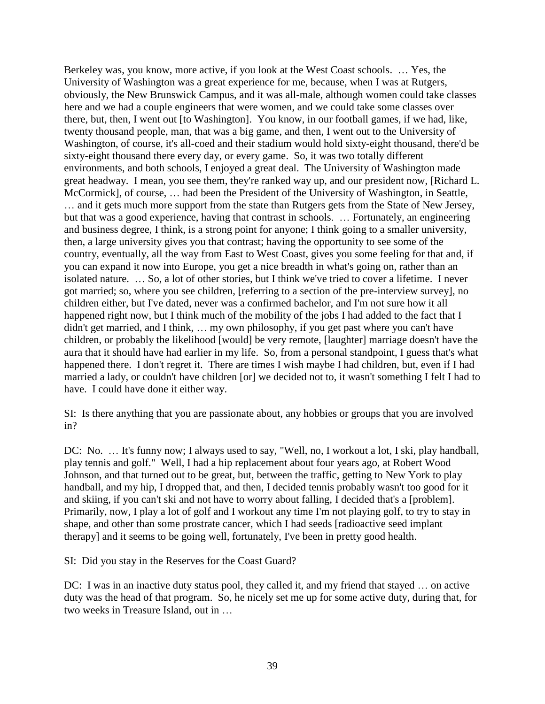Berkeley was, you know, more active, if you look at the West Coast schools. … Yes, the University of Washington was a great experience for me, because, when I was at Rutgers, obviously, the New Brunswick Campus, and it was all-male, although women could take classes here and we had a couple engineers that were women, and we could take some classes over there, but, then, I went out [to Washington]. You know, in our football games, if we had, like, twenty thousand people, man, that was a big game, and then, I went out to the University of Washington, of course, it's all-coed and their stadium would hold sixty-eight thousand, there'd be sixty-eight thousand there every day, or every game. So, it was two totally different environments, and both schools, I enjoyed a great deal. The University of Washington made great headway. I mean, you see them, they're ranked way up, and our president now, [Richard L. McCormick], of course, … had been the President of the University of Washington, in Seattle, … and it gets much more support from the state than Rutgers gets from the State of New Jersey, but that was a good experience, having that contrast in schools. … Fortunately, an engineering and business degree, I think, is a strong point for anyone; I think going to a smaller university, then, a large university gives you that contrast; having the opportunity to see some of the country, eventually, all the way from East to West Coast, gives you some feeling for that and, if you can expand it now into Europe, you get a nice breadth in what's going on, rather than an isolated nature. … So, a lot of other stories, but I think we've tried to cover a lifetime. I never got married; so, where you see children, [referring to a section of the pre-interview survey], no children either, but I've dated, never was a confirmed bachelor, and I'm not sure how it all happened right now, but I think much of the mobility of the jobs I had added to the fact that I didn't get married, and I think, … my own philosophy, if you get past where you can't have children, or probably the likelihood [would] be very remote, [laughter] marriage doesn't have the aura that it should have had earlier in my life. So, from a personal standpoint, I guess that's what happened there. I don't regret it. There are times I wish maybe I had children, but, even if I had married a lady, or couldn't have children [or] we decided not to, it wasn't something I felt I had to have. I could have done it either way.

SI: Is there anything that you are passionate about, any hobbies or groups that you are involved in?

DC: No. ... It's funny now; I always used to say, "Well, no, I workout a lot, I ski, play handball, play tennis and golf." Well, I had a hip replacement about four years ago, at Robert Wood Johnson, and that turned out to be great, but, between the traffic, getting to New York to play handball, and my hip, I dropped that, and then, I decided tennis probably wasn't too good for it and skiing, if you can't ski and not have to worry about falling, I decided that's a [problem]. Primarily, now, I play a lot of golf and I workout any time I'm not playing golf, to try to stay in shape, and other than some prostrate cancer, which I had seeds [radioactive seed implant therapy] and it seems to be going well, fortunately, I've been in pretty good health.

SI: Did you stay in the Reserves for the Coast Guard?

DC: I was in an inactive duty status pool, they called it, and my friend that stayed ... on active duty was the head of that program. So, he nicely set me up for some active duty, during that, for two weeks in Treasure Island, out in …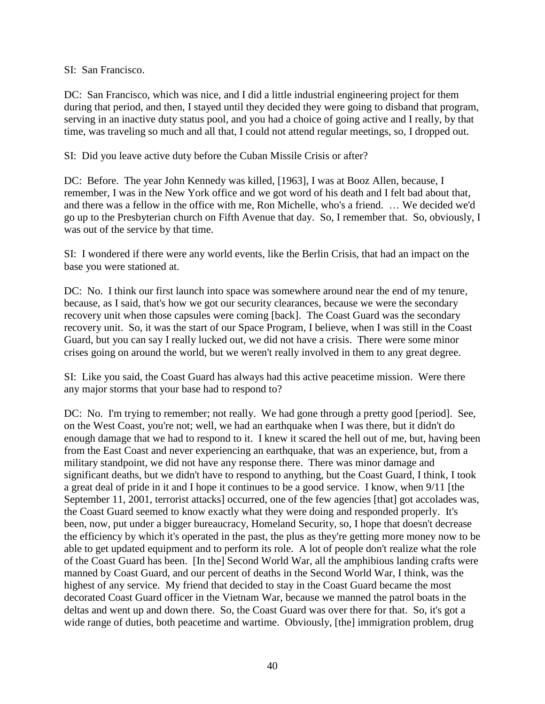### SI: San Francisco.

DC: San Francisco, which was nice, and I did a little industrial engineering project for them during that period, and then, I stayed until they decided they were going to disband that program, serving in an inactive duty status pool, and you had a choice of going active and I really, by that time, was traveling so much and all that, I could not attend regular meetings, so, I dropped out.

SI: Did you leave active duty before the Cuban Missile Crisis or after?

DC: Before. The year John Kennedy was killed, [1963], I was at Booz Allen, because, I remember, I was in the New York office and we got word of his death and I felt bad about that, and there was a fellow in the office with me, Ron Michelle, who's a friend. … We decided we'd go up to the Presbyterian church on Fifth Avenue that day. So, I remember that. So, obviously, I was out of the service by that time.

SI: I wondered if there were any world events, like the Berlin Crisis, that had an impact on the base you were stationed at.

DC: No. I think our first launch into space was somewhere around near the end of my tenure, because, as I said, that's how we got our security clearances, because we were the secondary recovery unit when those capsules were coming [back]. The Coast Guard was the secondary recovery unit. So, it was the start of our Space Program, I believe, when I was still in the Coast Guard, but you can say I really lucked out, we did not have a crisis. There were some minor crises going on around the world, but we weren't really involved in them to any great degree.

SI: Like you said, the Coast Guard has always had this active peacetime mission. Were there any major storms that your base had to respond to?

DC: No. I'm trying to remember; not really. We had gone through a pretty good [period]. See, on the West Coast, you're not; well, we had an earthquake when I was there, but it didn't do enough damage that we had to respond to it. I knew it scared the hell out of me, but, having been from the East Coast and never experiencing an earthquake, that was an experience, but, from a military standpoint, we did not have any response there. There was minor damage and significant deaths, but we didn't have to respond to anything, but the Coast Guard, I think, I took a great deal of pride in it and I hope it continues to be a good service. I know, when 9/11 [the September 11, 2001, terrorist attacks] occurred, one of the few agencies [that] got accolades was, the Coast Guard seemed to know exactly what they were doing and responded properly. It's been, now, put under a bigger bureaucracy, Homeland Security, so, I hope that doesn't decrease the efficiency by which it's operated in the past, the plus as they're getting more money now to be able to get updated equipment and to perform its role. A lot of people don't realize what the role of the Coast Guard has been. [In the] Second World War, all the amphibious landing crafts were manned by Coast Guard, and our percent of deaths in the Second World War, I think, was the highest of any service. My friend that decided to stay in the Coast Guard became the most decorated Coast Guard officer in the Vietnam War, because we manned the patrol boats in the deltas and went up and down there. So, the Coast Guard was over there for that. So, it's got a wide range of duties, both peacetime and wartime. Obviously, [the] immigration problem, drug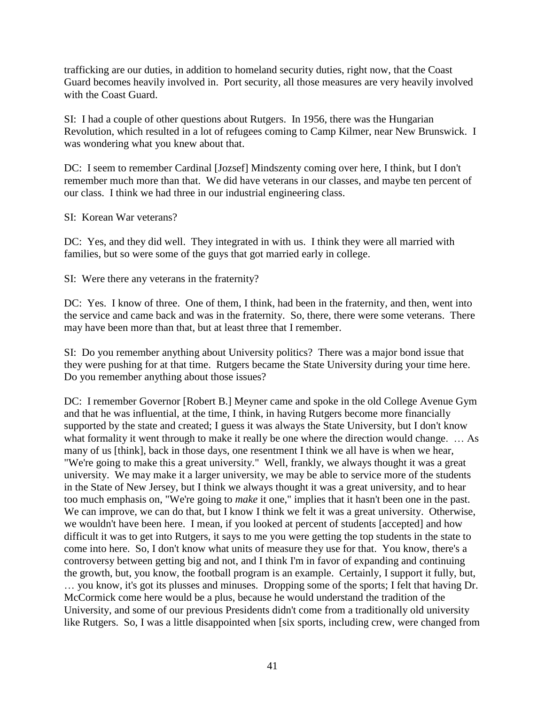trafficking are our duties, in addition to homeland security duties, right now, that the Coast Guard becomes heavily involved in. Port security, all those measures are very heavily involved with the Coast Guard.

SI: I had a couple of other questions about Rutgers. In 1956, there was the Hungarian Revolution, which resulted in a lot of refugees coming to Camp Kilmer, near New Brunswick. I was wondering what you knew about that.

DC: I seem to remember Cardinal [Jozsef] Mindszenty coming over here, I think, but I don't remember much more than that. We did have veterans in our classes, and maybe ten percent of our class. I think we had three in our industrial engineering class.

SI: Korean War veterans?

DC: Yes, and they did well. They integrated in with us. I think they were all married with families, but so were some of the guys that got married early in college.

SI: Were there any veterans in the fraternity?

DC: Yes. I know of three. One of them, I think, had been in the fraternity, and then, went into the service and came back and was in the fraternity. So, there, there were some veterans. There may have been more than that, but at least three that I remember.

SI: Do you remember anything about University politics? There was a major bond issue that they were pushing for at that time. Rutgers became the State University during your time here. Do you remember anything about those issues?

DC: I remember Governor [Robert B.] Meyner came and spoke in the old College Avenue Gym and that he was influential, at the time, I think, in having Rutgers become more financially supported by the state and created; I guess it was always the State University, but I don't know what formality it went through to make it really be one where the direction would change. ... As many of us [think], back in those days, one resentment I think we all have is when we hear, "We're going to make this a great university." Well, frankly, we always thought it was a great university. We may make it a larger university, we may be able to service more of the students in the State of New Jersey, but I think we always thought it was a great university, and to hear too much emphasis on, "We're going to *make* it one," implies that it hasn't been one in the past. We can improve, we can do that, but I know I think we felt it was a great university. Otherwise, we wouldn't have been here. I mean, if you looked at percent of students [accepted] and how difficult it was to get into Rutgers, it says to me you were getting the top students in the state to come into here. So, I don't know what units of measure they use for that. You know, there's a controversy between getting big and not, and I think I'm in favor of expanding and continuing the growth, but, you know, the football program is an example. Certainly, I support it fully, but, … you know, it's got its plusses and minuses. Dropping some of the sports; I felt that having Dr. McCormick come here would be a plus, because he would understand the tradition of the University, and some of our previous Presidents didn't come from a traditionally old university like Rutgers. So, I was a little disappointed when [six sports, including crew, were changed from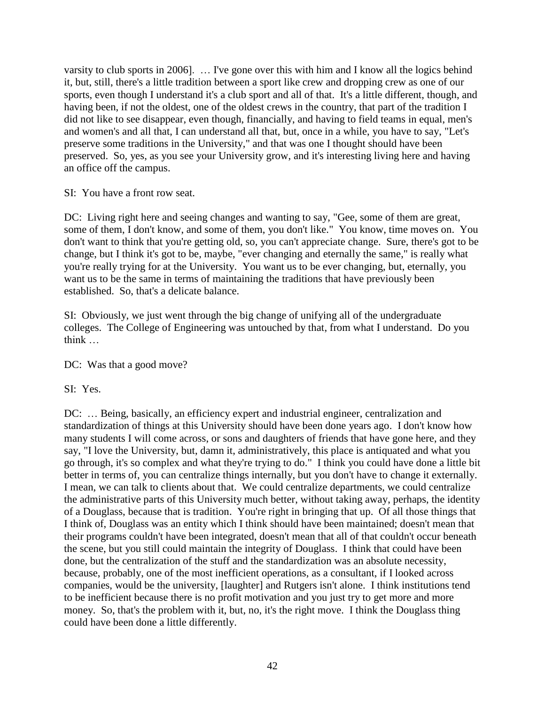varsity to club sports in 2006]. … I've gone over this with him and I know all the logics behind it, but, still, there's a little tradition between a sport like crew and dropping crew as one of our sports, even though I understand it's a club sport and all of that. It's a little different, though, and having been, if not the oldest, one of the oldest crews in the country, that part of the tradition I did not like to see disappear, even though, financially, and having to field teams in equal, men's and women's and all that, I can understand all that, but, once in a while, you have to say, "Let's preserve some traditions in the University," and that was one I thought should have been preserved. So, yes, as you see your University grow, and it's interesting living here and having an office off the campus.

SI: You have a front row seat.

DC: Living right here and seeing changes and wanting to say, "Gee, some of them are great, some of them, I don't know, and some of them, you don't like." You know, time moves on. You don't want to think that you're getting old, so, you can't appreciate change. Sure, there's got to be change, but I think it's got to be, maybe, "ever changing and eternally the same," is really what you're really trying for at the University. You want us to be ever changing, but, eternally, you want us to be the same in terms of maintaining the traditions that have previously been established. So, that's a delicate balance.

SI: Obviously, we just went through the big change of unifying all of the undergraduate colleges. The College of Engineering was untouched by that, from what I understand. Do you think …

DC: Was that a good move?

SI: Yes.

DC: ... Being, basically, an efficiency expert and industrial engineer, centralization and standardization of things at this University should have been done years ago. I don't know how many students I will come across, or sons and daughters of friends that have gone here, and they say, "I love the University, but, damn it, administratively, this place is antiquated and what you go through, it's so complex and what they're trying to do." I think you could have done a little bit better in terms of, you can centralize things internally, but you don't have to change it externally. I mean, we can talk to clients about that. We could centralize departments, we could centralize the administrative parts of this University much better, without taking away, perhaps, the identity of a Douglass, because that is tradition. You're right in bringing that up. Of all those things that I think of, Douglass was an entity which I think should have been maintained; doesn't mean that their programs couldn't have been integrated, doesn't mean that all of that couldn't occur beneath the scene, but you still could maintain the integrity of Douglass. I think that could have been done, but the centralization of the stuff and the standardization was an absolute necessity, because, probably, one of the most inefficient operations, as a consultant, if I looked across companies, would be the university, [laughter] and Rutgers isn't alone. I think institutions tend to be inefficient because there is no profit motivation and you just try to get more and more money. So, that's the problem with it, but, no, it's the right move. I think the Douglass thing could have been done a little differently.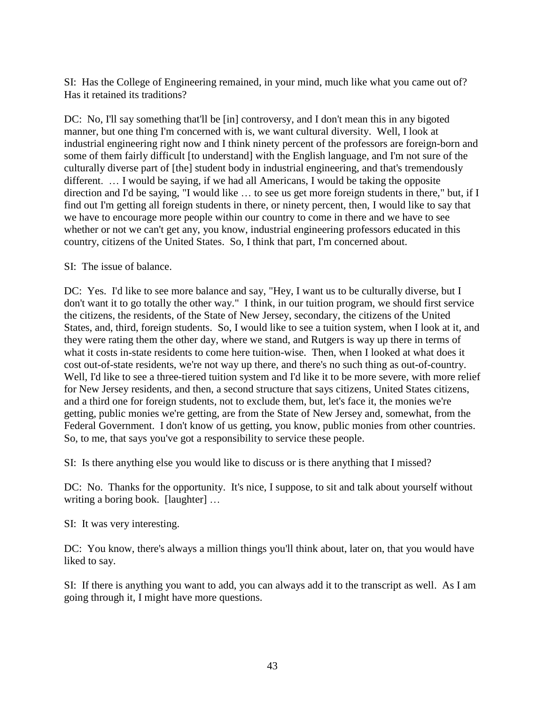SI: Has the College of Engineering remained, in your mind, much like what you came out of? Has it retained its traditions?

DC: No, I'll say something that'll be [in] controversy, and I don't mean this in any bigoted manner, but one thing I'm concerned with is, we want cultural diversity. Well, I look at industrial engineering right now and I think ninety percent of the professors are foreign-born and some of them fairly difficult [to understand] with the English language, and I'm not sure of the culturally diverse part of [the] student body in industrial engineering, and that's tremendously different. … I would be saying, if we had all Americans, I would be taking the opposite direction and I'd be saying, "I would like … to see us get more foreign students in there," but, if I find out I'm getting all foreign students in there, or ninety percent, then, I would like to say that we have to encourage more people within our country to come in there and we have to see whether or not we can't get any, you know, industrial engineering professors educated in this country, citizens of the United States. So, I think that part, I'm concerned about.

# SI: The issue of balance.

DC: Yes. I'd like to see more balance and say, "Hey, I want us to be culturally diverse, but I don't want it to go totally the other way." I think, in our tuition program, we should first service the citizens, the residents, of the State of New Jersey, secondary, the citizens of the United States, and, third, foreign students. So, I would like to see a tuition system, when I look at it, and they were rating them the other day, where we stand, and Rutgers is way up there in terms of what it costs in-state residents to come here tuition-wise. Then, when I looked at what does it cost out-of-state residents, we're not way up there, and there's no such thing as out-of-country. Well, I'd like to see a three-tiered tuition system and I'd like it to be more severe, with more relief for New Jersey residents, and then, a second structure that says citizens, United States citizens, and a third one for foreign students, not to exclude them, but, let's face it, the monies we're getting, public monies we're getting, are from the State of New Jersey and, somewhat, from the Federal Government. I don't know of us getting, you know, public monies from other countries. So, to me, that says you've got a responsibility to service these people.

SI: Is there anything else you would like to discuss or is there anything that I missed?

DC: No. Thanks for the opportunity. It's nice, I suppose, to sit and talk about yourself without writing a boring book. [laughter] ...

SI: It was very interesting.

DC: You know, there's always a million things you'll think about, later on, that you would have liked to say.

SI: If there is anything you want to add, you can always add it to the transcript as well. As I am going through it, I might have more questions.